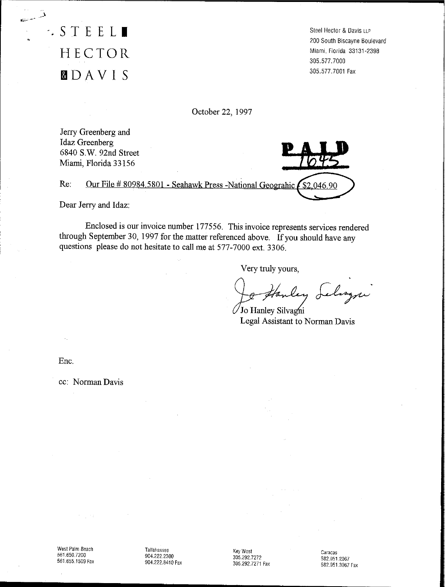**.STEEL.** HECTOR ~DAVI S

Steel Hector & Davis LLP 200 South Biscayne Boulevard Miami, Florida 33131-2398 305.577.7000 305.577.7001 Fax

October 22, 1997

Jerry Greenberg and Idaz Greenberg 6840 s.w. 92nd Street Miami, Florida 33156

Re: Our File # 80984.5801 - Seahawk Press -National Geograhic  $\sqrt{\$2,046.90\}$ 

Dear Jerry and Idaz:

Enclosed is our invoice number 177556. This invoice represents services rendered through September 30, 1997 for the matter referenced above. If you should have any questions please do not hesitate to call me at 577-7000 ext. 3306.

Very truly yours,

ley Selizzi

Jo Hanley Silvagni Legal Assistant to Norman Davis

Ene.

cc: Norman Davis

Tallahassee 904.2222300 904.222.8410 Fax

Key West 305.292.7272 305.292.7271 Fax

Caracas 582.951.2067 582.951.3067 Fax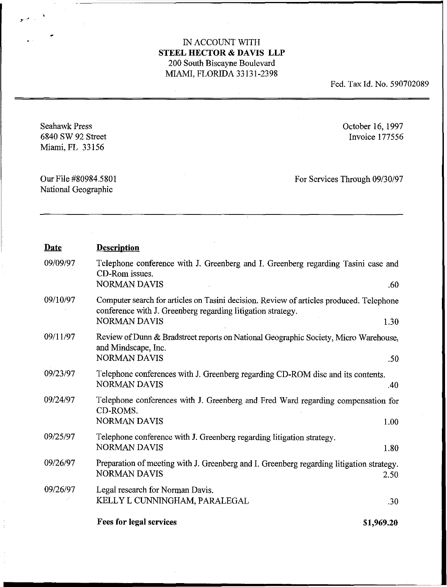$\bar{z}$ 

Fed. Tax Id. No. 590702089

Seahawk Press 6840 SW 92 Street Miami, FL 33156

October 16, 1997 Invoice 177556

Our File #80984.5801 National Geographic

For Services Through *09/30/97*

| <b>Date</b> | <b>Description</b>                                                                                                                                                                    |
|-------------|---------------------------------------------------------------------------------------------------------------------------------------------------------------------------------------|
| 09/09/97    | Telephone conference with J. Greenberg and I. Greenberg regarding Tasini case and<br>CD-Rom issues.<br><b>NORMAN DAVIS</b><br>.60                                                     |
| 09/10/97    | Computer search for articles on Tasini decision. Review of articles produced. Telephone<br>conference with J. Greenberg regarding litigation strategy.<br><b>NORMAN DAVIS</b><br>1.30 |
| 09/11/97    | Review of Dunn & Bradstreet reports on National Geographic Society, Micro Warehouse,<br>and Mindscape, Inc.<br><b>NORMAN DAVIS</b><br>.50                                             |
| 09/23/97    | Telephone conferences with J. Greenberg regarding CD-ROM disc and its contents.<br><b>NORMAN DAVIS</b><br>.40                                                                         |
| 09/24/97    | Telephone conferences with J. Greenberg and Fred Ward regarding compensation for<br>CD-ROMS.<br><b>NORMAN DAVIS</b><br>1.00                                                           |
| 09/25/97    | Telephone conference with J. Greenberg regarding litigation strategy.<br><b>NORMAN DAVIS</b><br>1.80                                                                                  |
| 09/26/97    | Preparation of meeting with J. Greenberg and I. Greenberg regarding litigation strategy.<br><b>NORMAN DAVIS</b><br>2.50                                                               |
| 09/26/97    | Legal research for Norman Davis.<br>KELLY L CUNNINGHAM, PARALEGAL<br>.30                                                                                                              |
|             | <b>Fees for legal services</b><br>\$1,969.20                                                                                                                                          |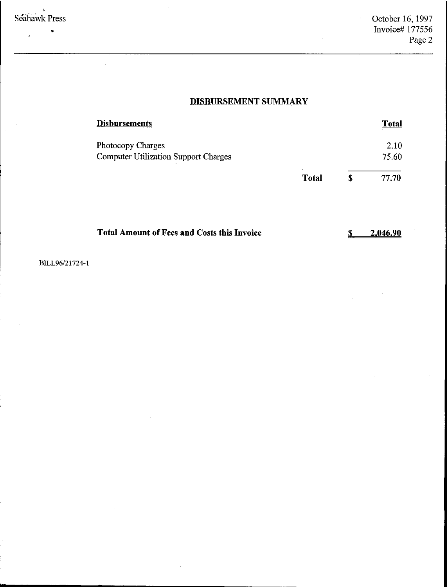#### $\pmb{\cdot}$ Seahawk Press

 $\overline{a}$ 

•

# **DISBURSEMENT SUMMARY**

| <b>Disbursements</b>                        |              | <b>Total</b> |
|---------------------------------------------|--------------|--------------|
| Photocopy Charges                           |              | 2.10         |
| <b>Computer Utilization Support Charges</b> |              | 75.60        |
|                                             | <b>Total</b> | \$<br>77.70  |
|                                             |              |              |

| <b>Total Amount of Fees and Costs this Invoice</b> | 2.046.90 |
|----------------------------------------------------|----------|
|                                                    |          |

BILL96/21724-1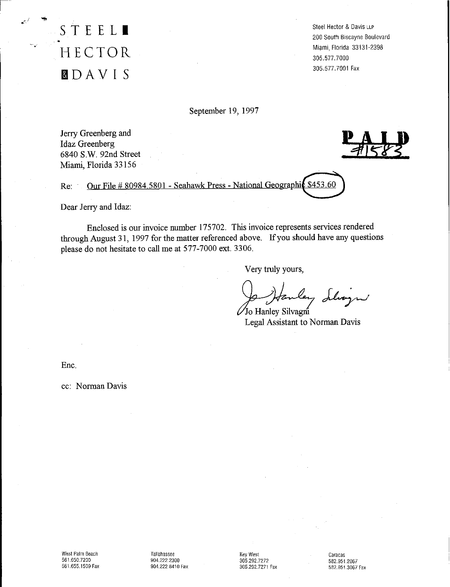**STEEL.** • HECTOR **IDAVIS**

Steel Hector & Davis LLP 200 South Biscayne Boulevard Miami, Florida 33131-2398 305.577.7000 305.577.7001 Fax

September 19, 1997

Jerry Greenberg and Idaz Greenberg 6840 S.w. 92nd Street Miami, Florida 33156

Re: Our File # 80984.5801 - Seahawk Press - National Geographic \$453.60

Dear Jerry and Idaz:

Enclosed is our invoice number 175702. This invoice represents services rendered through August 31, 1997 for the matter referenced above. If you should have any questions please do not hesitate to call me at 577-7000 ext. 3306.

Very truly yours,

Jo Hanley delvezni

Legal Assistant to Norman Davis

Ene.

cc: Norman Davis

Tallahassee 904.222.2300 904.222.8410 Fax

Key West 305.292.7272 305.292.7271 Fax

Caracas 582.9512067 582.951.3067 Fax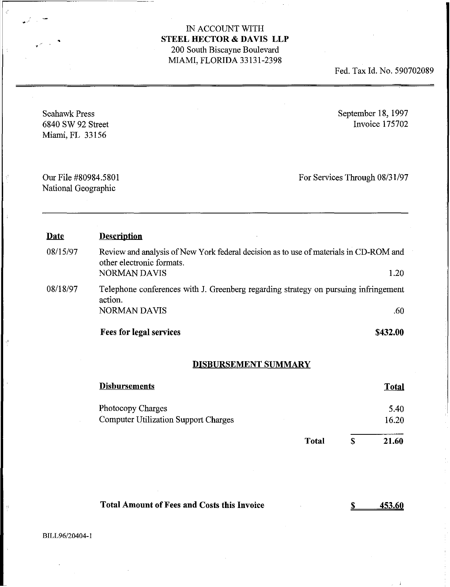Fed. Tax Id. No. 590702089

| <b>Seahawk Press</b><br>6840 SW 92 Street<br>Miami, FL 33156 |                                                                                                                                           |                               |               | September 18, 1997<br>Invoice 175702 |
|--------------------------------------------------------------|-------------------------------------------------------------------------------------------------------------------------------------------|-------------------------------|---------------|--------------------------------------|
| Our File #80984.5801<br>National Geographic                  |                                                                                                                                           | For Services Through 08/31/97 |               |                                      |
| <b>Date</b>                                                  | <b>Description</b>                                                                                                                        |                               |               |                                      |
| 08/15/97                                                     | Review and analysis of New York federal decision as to use of materials in CD-ROM and<br>other electronic formats.<br><b>NORMAN DAVIS</b> |                               |               | 1.20                                 |
| 08/18/97                                                     | Telephone conferences with J. Greenberg regarding strategy on pursuing infringement<br>action.                                            |                               |               |                                      |
|                                                              | <b>NORMAN DAVIS</b>                                                                                                                       |                               |               | .60                                  |
|                                                              | <b>Fees for legal services</b>                                                                                                            |                               |               | \$432.00                             |
|                                                              | <b>DISBURSEMENT SUMMARY</b>                                                                                                               |                               |               |                                      |
|                                                              | <b>Disbursements</b>                                                                                                                      |                               |               | <b>Total</b>                         |
|                                                              | Photocopy Charges                                                                                                                         |                               |               | 5.40                                 |
|                                                              | <b>Computer Utilization Support Charges</b>                                                                                               |                               |               | 16.20                                |
|                                                              |                                                                                                                                           | <b>Total</b>                  | <sup>\$</sup> | 21.60                                |

| <b>Total Amount of Fees and Costs this Invoice</b> | 453.60 |
|----------------------------------------------------|--------|
|----------------------------------------------------|--------|

BILL96/20404-1

.'

 $\frac{d^4}{2}$ 

 $\frac{d\vec{q}}{d}$ 

 $\lambda$ 

•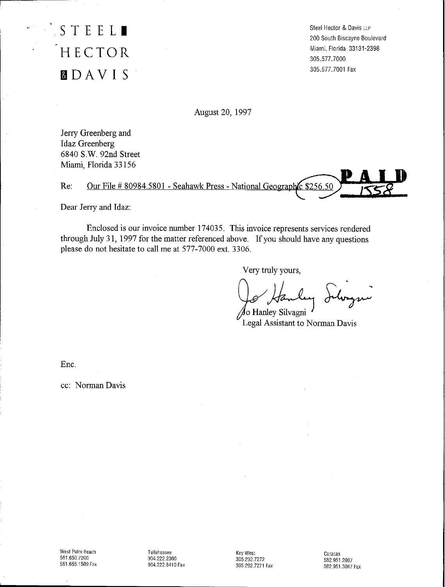# **STEEL.** HECTOR **&lDAVI S**

Steel Hector &. Davis LLP 200 South Biscayne Boulevard Miami, Florida 33131-2398 305.577.7000 305.577.7001 Fax

August 20, 1997

Jerry Greenberg and Idaz Greenberg 6840 S.w. 92nd Street Miami, Florida 33156

Re: Our File # 80984.5801 - Seahawk Press - National Geographic \$256.50

Dear Jerry and Idaz:

Enclosed is our invoice number 174035. This invoice represents services rendered through July 31, 1997 for the matter referenced above. If you should have any questions please do not hesitate to call me at 577-7000 ext. 3306.

Very truly yours,

⁄io Hanley Silvagni

Legal Assistant to Norman Davis

Ene.

cc: Norman Davis

Tallahassee 904.222.2300 904.222.8410 Fax

Key West 305.292.7272 305.292.7271 Fax Caracas 582.9512067 582.951.3067 Fax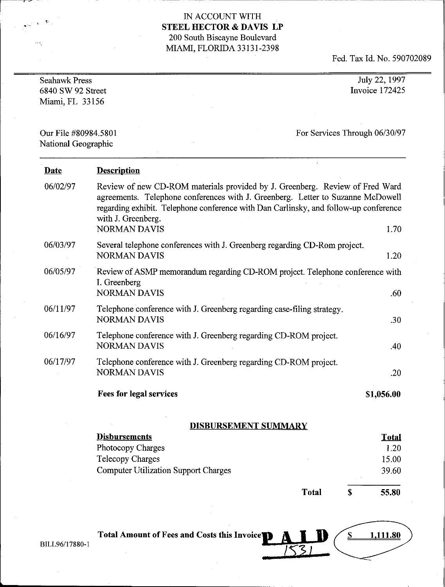r--~- - \_\_\_\_\_\_\_\_\_\_\_\_\_\_\_\_\_\_\_\_\_\_\_\_\_\_\_\_\_\_\_..• .. ..-- .. .. n \_

Fed. Tax Id. No. 590702089

| <b>Seahawk Press</b><br>6840 SW 92 Street<br>Miami, FL 33156 |                                                                                                                                                                                                                                                                                                      | July 22, 1997<br>Invoice 172425 |
|--------------------------------------------------------------|------------------------------------------------------------------------------------------------------------------------------------------------------------------------------------------------------------------------------------------------------------------------------------------------------|---------------------------------|
| Our File #80984.5801<br>National Geographic                  |                                                                                                                                                                                                                                                                                                      | For Services Through 06/30/97   |
| <b>Date</b>                                                  | <b>Description</b>                                                                                                                                                                                                                                                                                   |                                 |
| 06/02/97                                                     | Review of new CD-ROM materials provided by J. Greenberg. Review of Fred Ward<br>agreements. Telephone conferences with J. Greenberg. Letter to Suzanne McDowell<br>regarding exhibit. Telephone conference with Dan Carlinsky, and follow-up conference<br>with J. Greenberg.<br><b>NORMAN DAVIS</b> | 1.70                            |
| 06/03/97                                                     | Several telephone conferences with J. Greenberg regarding CD-Rom project.                                                                                                                                                                                                                            |                                 |
|                                                              | <b>NORMAN DAVIS</b>                                                                                                                                                                                                                                                                                  | 1.20                            |
| 06/05/97                                                     | Review of ASMP memorandum regarding CD-ROM project. Telephone conference with<br>I. Greenberg<br><b>NORMAN DAVIS</b>                                                                                                                                                                                 | .60                             |
| 06/11/97                                                     | Telephone conference with J. Greenberg regarding case-filing strategy.<br><b>NORMAN DAVIS</b>                                                                                                                                                                                                        | .30                             |
| 06/16/97                                                     | Telephone conference with J. Greenberg regarding CD-ROM project.<br><b>NORMAN DAVIS</b>                                                                                                                                                                                                              | .40                             |
| 06/17/97                                                     | Telephone conference with J. Greenberg regarding CD-ROM project.<br><b>NORMAN DAVIS</b>                                                                                                                                                                                                              | .20                             |
|                                                              | <b>Fees for legal services</b>                                                                                                                                                                                                                                                                       | \$1,056.00                      |

# DISBURSEMENT SUMMARY

| <b>Disbursements</b>                        |       | <b>Total</b> |
|---------------------------------------------|-------|--------------|
| Photocopy Charges                           |       | 1.20         |
| <b>Telecopy Charges</b>                     |       | 15.00        |
| <b>Computer Utilization Support Charges</b> |       | 39.60        |
|                                             |       |              |
|                                             | Total | 55.80        |

| Total Amount of Fees and Costs this Invoice <sup>1</sup> A I |  |
|--------------------------------------------------------------|--|
|                                                              |  |

BILL96/17880-1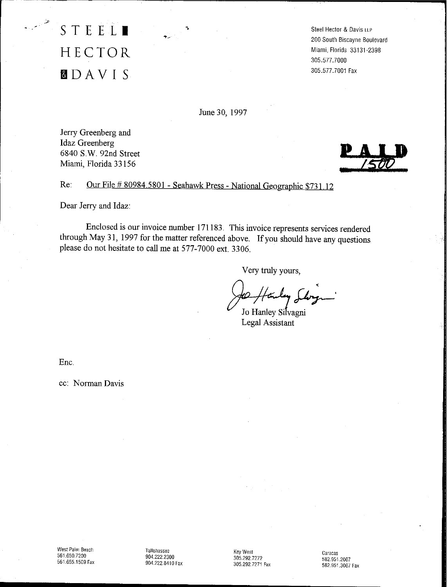STEEL. HECTOR **filDAVI S**

**Steel Hector & Davis** LLP 200 South Biscayne Boulevard Miami, Florida 33131-2398 305,577.7000 305,577.7001 Fax

June 30, 1997

Jerry Greenberg and Idaz Greenberg 6840 s.w. 92nd Street Miami, Florida 33156



Re: Our File # 80984.5801 - Seahawk Press - National Geographic \$731.12

Dear Jerry and Idaz:

Enclosed is our invoice number 171183, This invoice represents services rendered through May 31, 1997 for the matter referenced above. If you should have any questions please do not hesitate to call me at 577-7000 ext, 3306,

Very truly yours,

Jo Hanley Silvagni Legal Assistant

Ene,

cc: Norman Davis

Tallahassee 904,2222300 904.222.8410 Fax

Key West 305.292.7272 305.292.7271 Fax

Caracas 5829512067 582.951.3067 Fax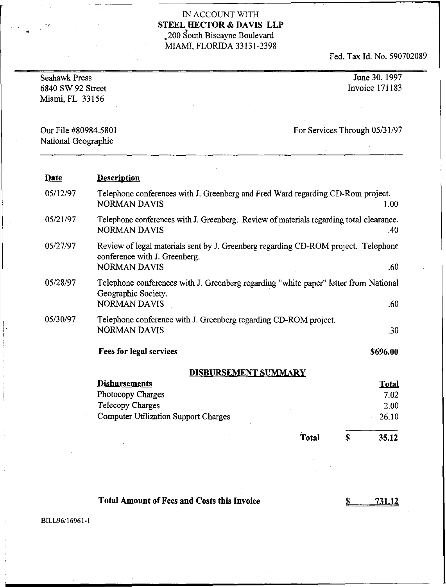# $\,$  IN ACCOUNT WITH  $\,$  STEEL HECTOR & DAVIS LLP IN ACCOUNT WITH<br>**STEEL HECTOR & DAVIS LLP**<br>200 South Biscayne Boulevard MIAMI, FLORIDA 33131-2398

Fed. Tax Id. No. 590702089

| Our File #80984.5801<br>For Services Through 05/31/97                                                                                                         |
|---------------------------------------------------------------------------------------------------------------------------------------------------------------|
| National Geographic                                                                                                                                           |
| <b>Description</b><br><b>Date</b>                                                                                                                             |
| 05/12/97<br>Telephone conferences with J. Greenberg and Fred Ward regarding CD-Rom project.<br><b>NORMAN DAVIS</b><br>1.00                                    |
| 05/21/97<br>Telephone conferences with J. Greenberg. Review of materials regarding total clearance.<br><b>NORMAN DAVIS</b><br>.40                             |
| 05/27/97<br>Review of legal materials sent by J. Greenberg regarding CD-ROM project. Telephone<br>conference with J. Greenberg.<br><b>NORMAN DAVIS</b><br>.60 |
| 05/28/97<br>Telephone conferences with J. Greenberg regarding "white paper" letter from National<br>Geographic Society.<br><b>NORMAN DAVIS</b><br>.60         |
| 05/30/97<br>Telephone conference with J. Greenberg regarding CD-ROM project.<br><b>NORMAN DAVIS</b><br>.30                                                    |
| <b>Fees for legal services</b><br>\$696.00                                                                                                                    |
| <b>DISBURSEMENT SUMMARY</b>                                                                                                                                   |
| <b>Disbursements</b><br><b>Total</b>                                                                                                                          |
| Photocopy Charges<br>7.02                                                                                                                                     |
| <b>Telecopy Charges</b><br>2.00<br><b>Computer Utilization Support Charges</b><br>26.10                                                                       |
| <b>Total</b><br>\$<br>35.12                                                                                                                                   |

# **Total Amount** ofFees **and Costs this Invoice**

**731.11**

BILL96/16961-1

•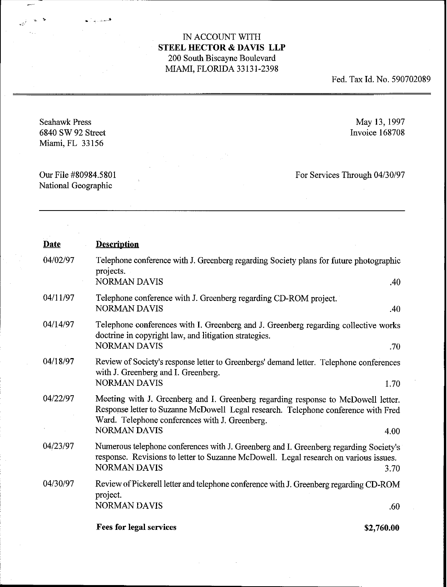Fed. Tax Id. No. 590702089

Seahawk Press 6840 SW 92 Street Miami, FL 33156

• >

May 13,1997 Invoice 168708

Our File #80984.5801 National Geographic

For Services Through 04/30/97

| <b>Date</b> | <b>Description</b>                                                                                                                                                                                                                               |            |
|-------------|--------------------------------------------------------------------------------------------------------------------------------------------------------------------------------------------------------------------------------------------------|------------|
| 04/02/97    | Telephone conference with J. Greenberg regarding Society plans for future photographic<br>projects.<br><b>NORMAN DAVIS</b>                                                                                                                       | .40        |
| 04/11/97    | Telephone conference with J. Greenberg regarding CD-ROM project.<br><b>NORMAN DAVIS</b>                                                                                                                                                          | .40        |
| 04/14/97    | Telephone conferences with I. Greenberg and J. Greenberg regarding collective works<br>doctrine in copyright law, and litigation strategies.<br><b>NORMAN DAVIS</b>                                                                              | .70        |
| 04/18/97    | Review of Society's response letter to Greenbergs' demand letter. Telephone conferences<br>with J. Greenberg and I. Greenberg.<br><b>NORMAN DAVIS</b>                                                                                            | 1.70       |
| 04/22/97    | Meeting with J. Greenberg and I. Greenberg regarding response to McDowell letter.<br>Response letter to Suzanne McDowell Legal research. Telephone conference with Fred<br>Ward. Telephone conferences with J. Greenberg.<br><b>NORMAN DAVIS</b> | 4.00       |
| 04/23/97    | Numerous telephone conferences with J. Greenberg and I. Greenberg regarding Society's<br>response. Revisions to letter to Suzanne McDowell. Legal research on various issues.<br><b>NORMAN DAVIS</b>                                             | 3.70       |
| 04/30/97    | Review of Pickerell letter and telephone conference with J. Greenberg regarding CD-ROM<br>project.<br><b>NORMAN DAVIS</b>                                                                                                                        | .60        |
|             | <b>Fees for legal services</b>                                                                                                                                                                                                                   | \$2,760.00 |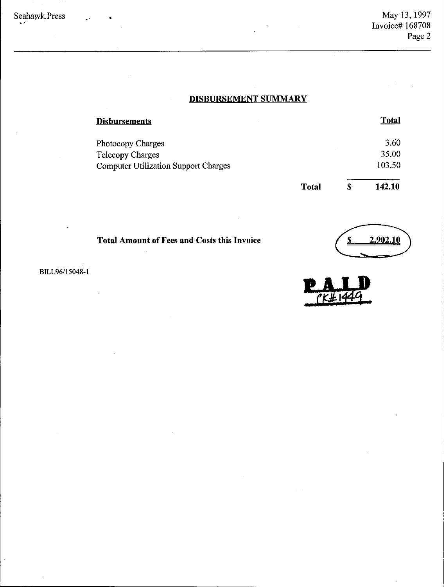# **DISBURSEMENT SUMMARY**

| <b>Disbursements</b>                        |              | <b>Total</b> |
|---------------------------------------------|--------------|--------------|
| Photocopy Charges                           |              | 3.60         |
| <b>Telecopy Charges</b>                     |              | 35.00        |
| <b>Computer Utilization Support Charges</b> |              | 103.50       |
|                                             | <b>Total</b> | \$<br>142.10 |

**Total Amount of Fees and Costs this Invoice**



BILL96/15048-1

 $\hat{\boldsymbol{\beta}}$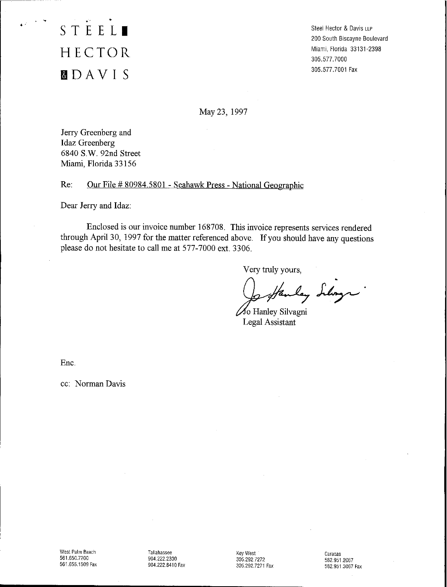. .<br>. . <u>. .</u> . . **STEEL.** HECTOR **&lDAVI S**

Steel Hector & Davis LLP 200 South Biscayne Boulevard Miami, Florida 33131-2398 305.577. 7000 305.577.7001 Fax

May 23, 1997

Jerry Greenberg and Idaz Greenberg 6840 S.w. 92nd Street Miami, Florida 33156

Re: Our File # 80984.580 I - Seabawk Press - National Geographic

Dear Jerry and Idaz:

Enclosed is our invoice number 168708. This invoice represents services rendered through April 30, 1997 for the matter referenced above. If you should have any questions please do not hesitate to call me at 577-7000 ext. 3306.

Very truly yours,

Josephenley Silings

Legal Assistant

Enc.

cc: Norman Davis

Tallahassee 904.222.2300 904.222.8410 Fax Key West 305.292.7272 305.292.7271 Fax Caracas 5829512067 582.951,3067 Fax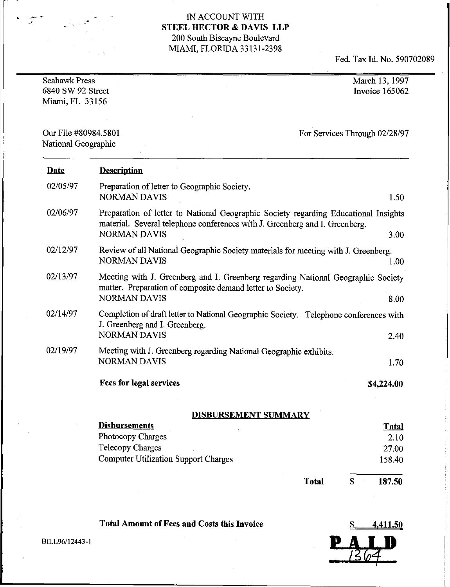Fed. TaxId.No.590702089

| <b>Seahawk Press</b><br>6840 SW 92 Street<br>Miami, FL 33156 |                                                                                                                                                                                                   | March 13, 1997<br>Invoice 165062 |  |
|--------------------------------------------------------------|---------------------------------------------------------------------------------------------------------------------------------------------------------------------------------------------------|----------------------------------|--|
| Our File #80984.5801<br>National Geographic                  |                                                                                                                                                                                                   | For Services Through 02/28/97    |  |
| <b>Date</b>                                                  | <b>Description</b>                                                                                                                                                                                |                                  |  |
| 02/05/97                                                     | Preparation of letter to Geographic Society.<br><b>NORMAN DAVIS</b>                                                                                                                               | 1.50                             |  |
| 02/06/97                                                     | Preparation of letter to National Geographic Society regarding Educational Insights<br>material. Several telephone conferences with J. Greenberg and I. Greenberg.<br><b>NORMAN DAVIS</b><br>3.00 |                                  |  |
| 02/12/97                                                     | Review of all National Geographic Society materials for meeting with J. Greenberg.<br><b>NORMAN DAVIS</b>                                                                                         | 1.00                             |  |
| 02/13/97                                                     | Meeting with J. Greenberg and I. Greenberg regarding National Geographic Society<br>matter. Preparation of composite demand letter to Society.<br><b>NORMAN DAVIS</b>                             | 8.00                             |  |
| 02/14/97                                                     | Completion of draft letter to National Geographic Society. Telephone conferences with<br>J. Greenberg and I. Greenberg.<br><b>NORMAN DAVIS</b>                                                    | 2.40                             |  |
| 02/19/97                                                     | Meeting with J. Greenberg regarding National Geographic exhibits.<br><b>NORMAN DAVIS</b>                                                                                                          | 1.70                             |  |
|                                                              | <b>Fees for legal services</b>                                                                                                                                                                    | \$4,224.00                       |  |
|                                                              | <b>DISBURSEMENT SUMMARY</b>                                                                                                                                                                       |                                  |  |
|                                                              | <b>Disbursements</b>                                                                                                                                                                              | <b>Total</b>                     |  |
|                                                              | Photocopy Charges                                                                                                                                                                                 | 2.10                             |  |
|                                                              | <b>Telecopy Charges</b><br><b>Computer Utilization Support Charges</b>                                                                                                                            | 27.00<br>158.40                  |  |
|                                                              |                                                                                                                                                                                                   |                                  |  |
|                                                              | <b>Total</b>                                                                                                                                                                                      | 187.50<br>S                      |  |

Total Amount of Fees and Costs this Invoice

\$ 4,411.50

BILL96/12443-1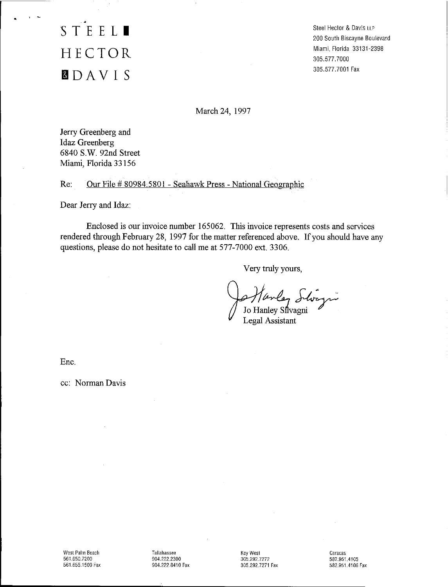# • **STEEL.** HECTOR **flDAVI S**

Steel Hector & Davis LLP 200 South Biscayne Boulevard Miami, Florida 33131-2398 305,577. 7000 305,577.7001 Fax

March 24, 1997

Jerry Greenberg and Idaz Greenberg 6840 s.w. 92nd Street Miami, Florida 33156

Re: Our File  $\#$  80984,5801 - Seahawk Press - National Geographic

Dear Jerry and Idaz:

Enclosed is our invoice number 165062, This invoice represents costs and services rendered through February 28, 1997 for the matter referenced above. If you should have any questions, please do not hesitate to call me at 577-7000 ext, 3306.

Very truly yours,

Marley Silvagni

Legal Assistant

Ene.

cc: Norman Davis

Tallahassee 904.222.2300 904.222.8410 Fax Key West 305.292.7272 *305.292.7271* Fax Caracas 582.951.4105 582.951.4106 Fax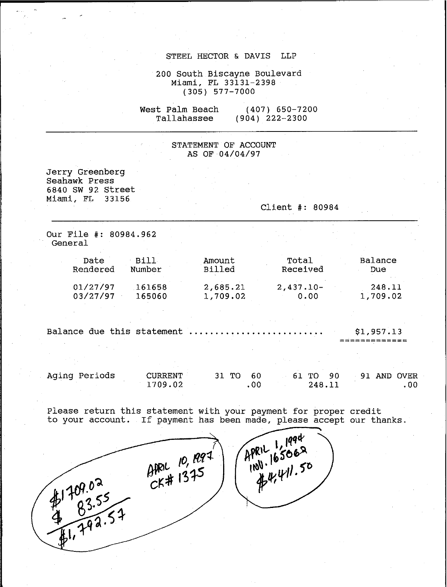#### STEEL HECTOR & DAVIS LLP

200 South Biscayne Boulevard Miami, FL 33131-2398 (305) 577-7000

west Palm Beach Tallahassee (407) 650-7200 (904) 222-2300

#### STATEMENT OF ACCOUNT AS OF 04/04/97

Jerry Greenberg Seahawk Press 6840 SW 92 Street Miami, FL 33156 Client #: 80984 Our File #: 80984.962 General Date Bill<br>Primered Number Rendered 01/27/97 161658<br>03/27/97 165060 03/27/97 Amount Billed 2,685.21 1,709.02 Total Received 2,437.10- 0.00 Balance Due 248.11 1,709.02 Balance due this statement . \$1,957.13 **=============** Aging Periods CURRENT 1709.02 31 TO 60 .00 61 TO 90 248.11 91 AND OVER .00 Please return this statement with your payment for proper credit

to your account. If payment has been made, please accept our thanks.<br>  $\theta_1^{\text{PRL}}$ <br>  $\theta_2^{\text{PRL}}$ <br>  $\theta_3^{\text{PRL}}$ <br>  $\theta_4^{\text{PRL}}$ <br>  $\theta_5^{\text{PRL}}$ <br>  $\theta_6^{\text{PRL}}$ <br>  $\theta_7^{\text{PRL}}$ <br>  $\theta_8^{\text{PRL}}$ <br>  $\theta_7^{\text{PRL}}$ <br>  $\theta_8^{\text{PRL}}$ <br>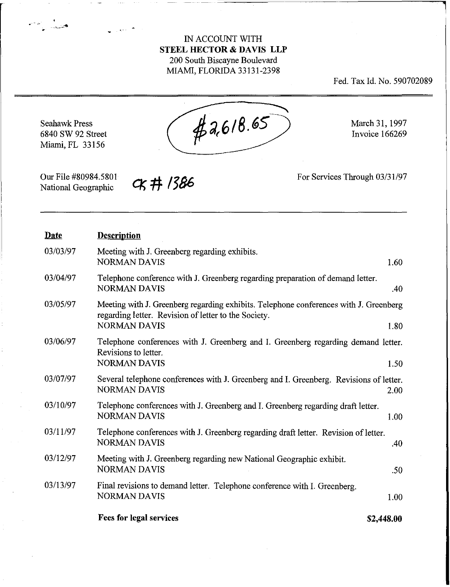Fed. Tax Id. No. 590702089

**)** 

 $47,618.65$ March 31, 1997 Seahawk Press 6840 SW 92 Street Invoice 166269 Miami, FL 33156

Our File #80984.5801 National Geographic

فتبدل المستو

**《# 1386** 

For Services Through 03/31/97

| <b>Date</b> | <b>Description</b>                                                                                                                                                           |
|-------------|------------------------------------------------------------------------------------------------------------------------------------------------------------------------------|
| 03/03/97    | Meeting with J. Greenberg regarding exhibits.<br><b>NORMAN DAVIS</b><br>1.60                                                                                                 |
| 03/04/97    | Telephone conference with J. Greenberg regarding preparation of demand letter.<br><b>NORMAN DAVIS</b><br>.40                                                                 |
| 03/05/97    | Meeting with J. Greenberg regarding exhibits. Telephone conferences with J. Greenberg<br>regarding letter. Revision of letter to the Society.<br><b>NORMAN DAVIS</b><br>1.80 |
| 03/06/97    | Telephone conferences with J. Greenberg and I. Greenberg regarding demand letter.                                                                                            |
|             | Revisions to letter.<br><b>NORMAN DAVIS</b><br>1.50                                                                                                                          |
| 03/07/97    | Several telephone conferences with J. Greenberg and I. Greenberg. Revisions of letter.<br><b>NORMAN DAVIS</b><br>2.00                                                        |
| 03/10/97    | Telephone conferences with J. Greenberg and I. Greenberg regarding draft letter.<br><b>NORMAN DAVIS</b><br>1.00                                                              |
| 03/11/97    | Telephone conferences with J. Greenberg regarding draft letter. Revision of letter.<br><b>NORMAN DAVIS</b><br>.40                                                            |
| 03/12/97    | Meeting with J. Greenberg regarding new National Geographic exhibit.<br><b>NORMAN DAVIS</b><br>.50                                                                           |
| 03/13/97    | Final revisions to demand letter. Telephone conference with I. Greenberg.<br><b>NORMAN DAVIS</b><br>1.00                                                                     |
|             | <b>Fees for legal services</b><br>\$2,448.00                                                                                                                                 |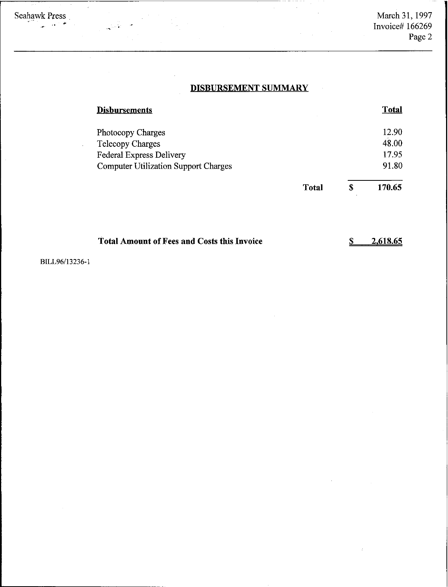$\bar{\psi}$ 

# **DISBURSEMENT SUMMARY**

| <b>Disbursements</b>                               |              | <b>Total</b> |
|----------------------------------------------------|--------------|--------------|
| Photocopy Charges                                  |              | 12.90        |
| <b>Telecopy Charges</b>                            |              | 48.00        |
| <b>Federal Express Delivery</b>                    |              | 17.95        |
| <b>Computer Utilization Support Charges</b>        |              | 91.80        |
|                                                    | <b>Total</b> | \$<br>170.65 |
| <b>Total Amount of Fees and Costs this Invoice</b> |              | 2,618.65     |

BILL96/13236-1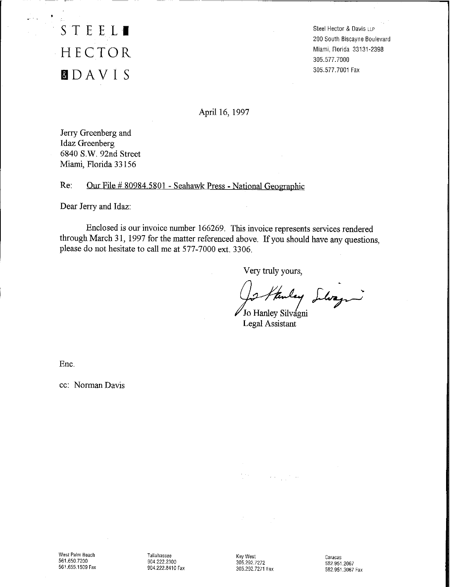тáц. S TEE **LI** HECTOR IDAVI S

 $\frac{1}{2}$ 

Steel Hector & Davis LLP 200South Biscayne Boulevard Miami, Florida 33131-2398 305.577. 7000 305.577.7001 Fax

----------------------------,

April 16, 1997

Jerry Greenberg and Idaz Greenberg 6840 S.W. 92nd Street Miami, Florida 33156

Re: Our File # 80984.5801 - Seahawk Press - National Geographic

Dear Jerry and Idaz:

Enclosed is our invoice number 166269. This invoice represents services rendered through March 31, 1997 for the matter referenced above. If you should have any questions, please do not hesitate to call me at 577-7000 ext. 3306.

Very truly yours,

Jo Hanley Llozzi

Legal Assistant

 $\lambda_{\rm{max}}=1.5$  and

Ene.

cc: Norman Davis

West Palm Beach 561.650.7200 561.655.1509 Fax

Tallahassee 904222.2300 904.222.8410 Fax Key West 305.292.7272 305.292.7271 Fax

Caracas 582.951.2067 582.951.3067 Fax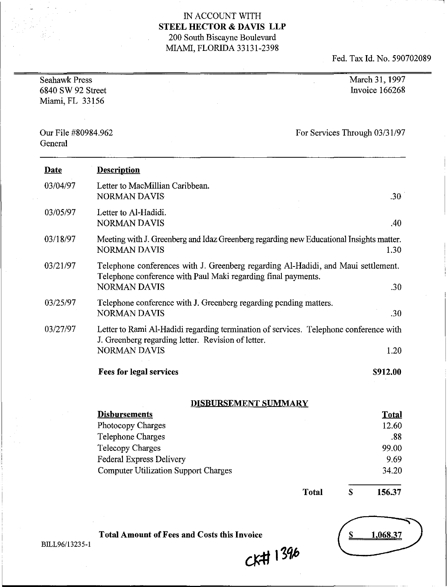Fed. Tax Id. No. 590702089

| <b>Seahawk Press</b><br>6840 SW 92 Street<br>Miami, FL 33156 | March 31, 1997<br>Invoice 166268                                                                                                                                                 |  |
|--------------------------------------------------------------|----------------------------------------------------------------------------------------------------------------------------------------------------------------------------------|--|
| Our File #80984.962<br>General                               | For Services Through 03/31/97                                                                                                                                                    |  |
| Date                                                         | <b>Description</b>                                                                                                                                                               |  |
| 03/04/97                                                     | Letter to MacMillian Caribbean.<br><b>NORMAN DAVIS</b><br>.30                                                                                                                    |  |
| 03/05/97                                                     | Letter to Al-Hadidi.<br><b>NORMAN DAVIS</b><br>.40                                                                                                                               |  |
| 03/18/97                                                     | Meeting with J. Greenberg and Idaz Greenberg regarding new Educational Insights matter.<br><b>NORMAN DAVIS</b><br>1.30                                                           |  |
| 03/21/97                                                     | Telephone conferences with J. Greenberg regarding Al-Hadidi, and Maui settlement.<br>Telephone conference with Paul Maki regarding final payments.<br><b>NORMAN DAVIS</b><br>.30 |  |
| 03/25/97                                                     | Telephone conference with J. Greenberg regarding pending matters.<br><b>NORMAN DAVIS</b><br>.30                                                                                  |  |
| 03/27/97                                                     | Letter to Rami Al-Hadidi regarding termination of services. Telephone conference with<br>J. Greenberg regarding letter. Revision of letter.<br><b>NORMAN DAVIS</b><br>1.20       |  |
|                                                              | <b>Fees for legal services</b><br>\$912.00                                                                                                                                       |  |

# **DISBURSEMENT SUMMARY**

| <b>Disbursements</b>                        | <b>Total</b> |
|---------------------------------------------|--------------|
| Photocopy Charges                           | 12.60        |
| Telephone Charges                           | .88          |
| <b>Telecopy Charges</b>                     | 99.00        |
| <b>Federal Express Delivery</b>             | 9.69         |
| <b>Computer Utilization Support Charges</b> | 34.20        |
|                                             |              |

**Total**

**156.37**

\$

1,068.37  $\overline{\mathbf{z}}$ 

BILL96/13235-1

CK# 1396

**Total Amount** of Fees **and Costs this Invoice**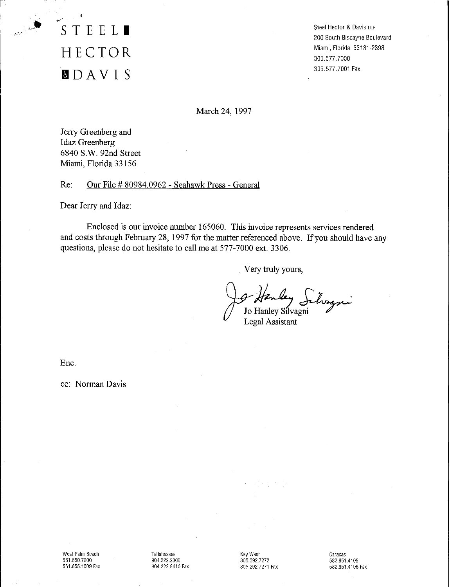**STEEL.** HECTOR **flDAVI S**

Steel Hector & Davis LLP 200 South Biscayne Boulevard Miami. Florida 33131-2398 305.577. 7000 305.577.7001 Fax

March 24, 1997

Jerry Greenberg and Idaz Greenberg 6840 S.w. 92nd Street Miami, Florida 33156

Re: Our File # 80984.0962 - Seahawk Press - General

Dear Jerry and Idaz:

Enclosed is our invoice number 165060. This invoice represents services rendered and costs through February 28, 1997 for the matter referenced above. If you should have any questions, please do not hesitate to call me at 577-7000 ext. 3306.

Very truly yours,

I Hanley Jihragni<br>Jo Hanley Silvagni

Ene.

cc: Norman Davis

West Palm Beach 561.650.7200 561.655.1509 Fax Tallahassee 904.222.2300 904.222.8410 Fax Key West 305.292.7272 305.292,7271 Fax

Caracas 582.951.4105 582.951.4106 Fax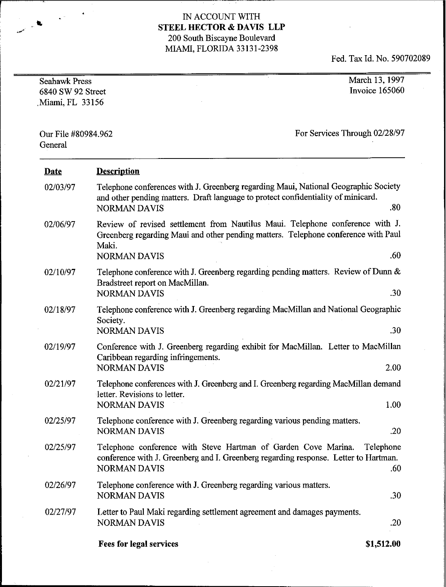$\hat{\mathbf{v}}^{(n)}$ 

ŧ,

Fed. Tax Id. No. 590702089

| <b>Seahawk Press</b><br>6840 SW 92 Street<br>Miami, FL 33156 |                                                                                                                                                                                                     | March 13, 1997<br>Invoice 165060 |
|--------------------------------------------------------------|-----------------------------------------------------------------------------------------------------------------------------------------------------------------------------------------------------|----------------------------------|
| Our File #80984.962<br>General                               |                                                                                                                                                                                                     | For Services Through 02/28/97    |
| <b>Date</b>                                                  | <b>Description</b>                                                                                                                                                                                  |                                  |
| 02/03/97                                                     | Telephone conferences with J. Greenberg regarding Maui, National Geographic Society<br>and other pending matters. Draft language to protect confidentiality of minicard.<br><b>NORMAN DAVIS</b>     | .80                              |
| 02/06/97                                                     | Review of revised settlement from Nautilus Maui. Telephone conference with J.<br>Greenberg regarding Maui and other pending matters. Telephone conference with Paul<br>Maki.<br><b>NORMAN DAVIS</b> | .60                              |
| 02/10/97                                                     | Telephone conference with J. Greenberg regarding pending matters. Review of Dunn &<br>Bradstreet report on MacMillan.<br><b>NORMAN DAVIS</b>                                                        | .30                              |
| 02/18/97                                                     | Telephone conference with J. Greenberg regarding MacMillan and National Geographic<br>Society.<br><b>NORMAN DAVIS</b>                                                                               | .30                              |
| 02/19/97                                                     | Conference with J. Greenberg regarding exhibit for MacMillan. Letter to MacMillan<br>Caribbean regarding infringements.<br><b>NORMAN DAVIS</b>                                                      | 2.00                             |
| 02/21/97                                                     | Telephone conferences with J. Greenberg and I. Greenberg regarding MacMillan demand<br>letter. Revisions to letter.<br><b>NORMAN DAVIS</b>                                                          | 1.00                             |
| 02/25/97                                                     | Telephone conference with J. Greenberg regarding various pending matters.<br><b>NORMAN DAVIS</b>                                                                                                    | .20                              |
| 02/25/97                                                     | Telephone conference with Steve Hartman of Garden Cove Marina.<br>conference with J. Greenberg and I. Greenberg regarding response. Letter to Hartman.<br><b>NORMAN DAVIS</b>                       | Telephone<br>.60                 |
| 02/26/97                                                     | Telephone conference with J. Greenberg regarding various matters.<br><b>NORMAN DAVIS</b>                                                                                                            | .30                              |
| 02/27/97                                                     | Letter to Paul Maki regarding settlement agreement and damages payments.<br><b>NORMAN DAVIS</b>                                                                                                     | .20                              |

**Fees for legal services**

**\$1,512.00**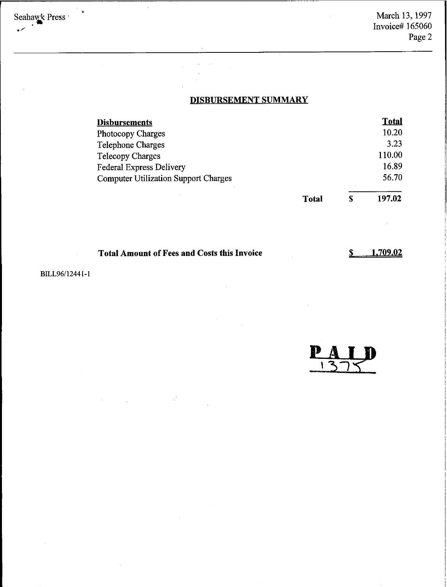March 13,1997 Invoice# 165060 Page 2

# **DISBURSEMENT SUMMARY**

| <b>Disbursements</b>                        |       |   | <b>Total</b> |
|---------------------------------------------|-------|---|--------------|
| Photocopy Charges                           |       |   | 10.20        |
| Telephone Charges                           |       |   | 3.23         |
| <b>Telecopy Charges</b>                     |       |   | 110.00       |
| <b>Federal Express Delivery</b>             |       |   | 16.89        |
| <b>Computer Utilization Support Charges</b> |       |   | 56.70        |
|                                             | Total | S | 197.02       |

| <b>Total Amount of Fees and Costs this Invoice</b> |  |
|----------------------------------------------------|--|
|----------------------------------------------------|--|

 $\hat{\mathcal{L}}_{\text{max}}$  and  $\hat{\mathcal{L}}_{\text{max}}$  $\mathcal{L}_{\mathrm{c}}$ 

> \$ **1.709.02**

 $\mathcal{A}^{\mathcal{A}}$ 

BILL96/l2441-1

 $\sim$ 

Seahawk Press \*

 $\ddot{\bullet}$ 

 $\mathbf{D}$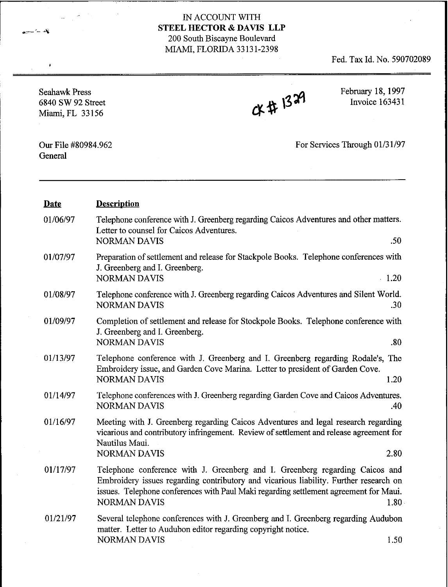Fed. Tax Id. No. 590702089

| <b>Seahawk Press</b><br>6840 SW 92 Street<br>Miami, FL 33156 | CK# 1329                                                                                                                                                                                                                                                                              | February 18, 1997<br>Invoice 163431 |
|--------------------------------------------------------------|---------------------------------------------------------------------------------------------------------------------------------------------------------------------------------------------------------------------------------------------------------------------------------------|-------------------------------------|
| Our File #80984.962<br>General                               |                                                                                                                                                                                                                                                                                       | For Services Through 01/31/97       |
| <b>Date</b>                                                  | <b>Description</b>                                                                                                                                                                                                                                                                    |                                     |
| 01/06/97                                                     | Telephone conference with J. Greenberg regarding Caicos Adventures and other matters.<br>Letter to counsel for Caicos Adventures.<br><b>NORMAN DAVIS</b>                                                                                                                              | .50                                 |
| 01/07/97                                                     | Preparation of settlement and release for Stackpole Books. Telephone conferences with<br>J. Greenberg and I. Greenberg.<br><b>NORMAN DAVIS</b>                                                                                                                                        | $\cdot$ 1.20                        |
| 01/08/97                                                     | Telephone conference with J. Greenberg regarding Caicos Adventures and Silent World.<br><b>NORMAN DAVIS</b>                                                                                                                                                                           | .30                                 |
| 01/09/97                                                     | Completion of settlement and release for Stockpole Books. Telephone conference with<br>J. Greenberg and I. Greenberg.<br><b>NORMAN DAVIS</b>                                                                                                                                          | .80                                 |
| 01/13/97                                                     | Telephone conference with J. Greenberg and I. Greenberg regarding Rodale's, The<br>Embroidery issue, and Garden Cove Marina. Letter to president of Garden Cove.<br><b>NORMAN DAVIS</b>                                                                                               | 1.20                                |
| 01/14/97                                                     | Telephone conferences with J. Greenberg regarding Garden Cove and Caicos Adventures.<br>NORMAN DAVIS                                                                                                                                                                                  | .40                                 |
| 01/16/97                                                     | Meeting with J. Greenberg regarding Caicos Adventures and legal research regarding<br>vicarious and contributory infringement. Review of settlement and release agreement for<br>Nautilus Maui.<br><b>NORMAN DAVIS</b>                                                                | 2.80                                |
| 01/17/97                                                     | Telephone conference with J. Greenberg and I. Greenberg regarding Caicos and<br>Embroidery issues regarding contributory and vicarious liability. Further research on<br>issues. Telephone conferences with Paul Maki regarding settlement agreement for Maui.<br><b>NORMAN DAVIS</b> | 1.80                                |
| 01/21/97                                                     | Several telephone conferences with J. Greenberg and I. Greenberg regarding Audubon<br>matter. Letter to Audubon editor regarding copyright notice.<br>NORMAN DAVIS                                                                                                                    | 1.50                                |

 $\bullet$ 

 $-5$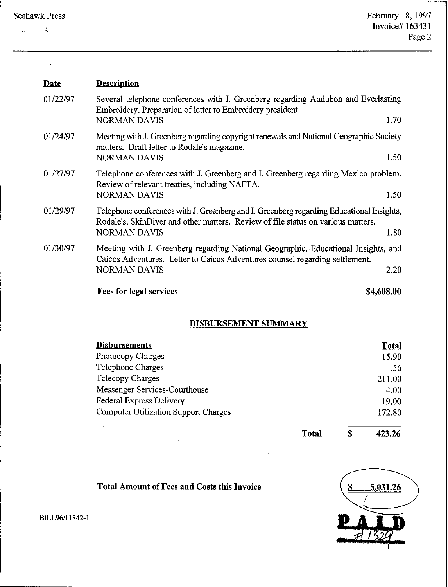| <b>Seahawk Press</b> |  |
|----------------------|--|
|----------------------|--|

 $\mathbf{g}_{\text{max}}$  ,  $\mathbf{g}$ 

 $\mathbf{A}$ 

| <b>Date</b> | <b>Description</b>                                                                                                                                                                                  |      |
|-------------|-----------------------------------------------------------------------------------------------------------------------------------------------------------------------------------------------------|------|
| 01/22/97    | Several telephone conferences with J. Greenberg regarding Audubon and Everlasting<br>Embroidery. Preparation of letter to Embroidery president.<br><b>NORMAN DAVIS</b>                              | 1.70 |
| 01/24/97    | Meeting with J. Greenberg regarding copyright renewals and National Geographic Society<br>matters. Draft letter to Rodale's magazine.<br><b>NORMAN DAVIS</b>                                        | 1.50 |
| 01/27/97    | Telephone conferences with J. Greenberg and I. Greenberg regarding Mexico problem.<br>Review of relevant treaties, including NAFTA.<br><b>NORMAN DAVIS</b>                                          | 1.50 |
| 01/29/97    | Telephone conferences with J. Greenberg and I. Greenberg regarding Educational Insights,<br>Rodale's, SkinDiver and other matters. Review of file status on various matters.<br><b>NORMAN DAVIS</b> | 1.80 |
| 01/30/97    | Meeting with J. Greenberg regarding National Geographic, Educational Insights, and<br>Caicos Adventures. Letter to Caicos Adventures counsel regarding settlement.<br><b>NORMAN DAVIS</b>           | 2.20 |
|             | <b>Fees for legal services</b><br>\$4,608.00                                                                                                                                                        |      |

# DISBURSEMENT SUMMARY

| <b>Disbursements</b>                        |              |   | <b>Total</b> |
|---------------------------------------------|--------------|---|--------------|
| Photocopy Charges                           |              |   | 15.90        |
| <b>Telephone Charges</b>                    |              |   | .56          |
| Telecopy Charges                            |              |   | 211.00       |
| Messenger Services-Courthouse               |              |   | 4.00         |
| <b>Federal Express Delivery</b>             |              |   | 19.00        |
| <b>Computer Utilization Support Charges</b> |              |   | 172.80       |
|                                             | <b>Total</b> | S | 423,26       |

Total Amount of Fees and Costs this Invoice



B1LL96/l1342-1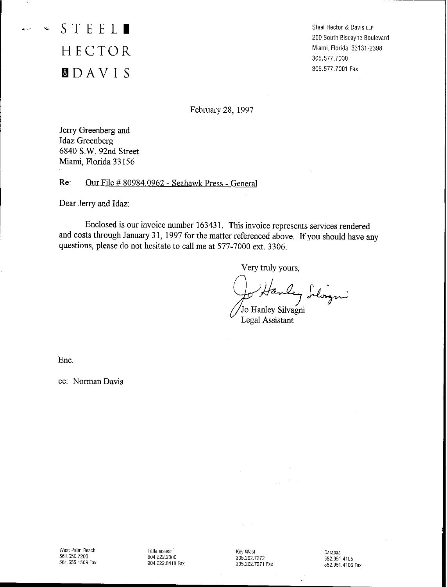'" **STEEL.** HECTOR **&lDAVI S**

Steel Hector & Davis LLP 200 South Biscayne Boulevard Miami. Florida 33131-2398 305.577. 7000 305.577.7001 Fax

February 28, 1997

Jerry Greenberg and Idaz Greenberg 6840 S.w. 92nd Street Miami, Florida 33 156

Re: Our File # 80984.0962 - Seabawk Press - General

Dear Jerry and Idaz:

Enclosed is our invoice number 163431. This invoice represents services rendered and costs through January 31, 1997 for the matter referenced above. If you should have any questions, please do not hesitate to call me at 577-7000 ext. 3306.

Very truly yours,

Hanley Silvigni

Legal Assistant

Enc.

cc: Norman Davis

Tallahassee 904.222.2300 904.222.8410 Fax

Key West 305.292.7272 305.292.7271 Fax Caracas 582.9514105 582.951.4106 Fax

 $\bar{a}$  .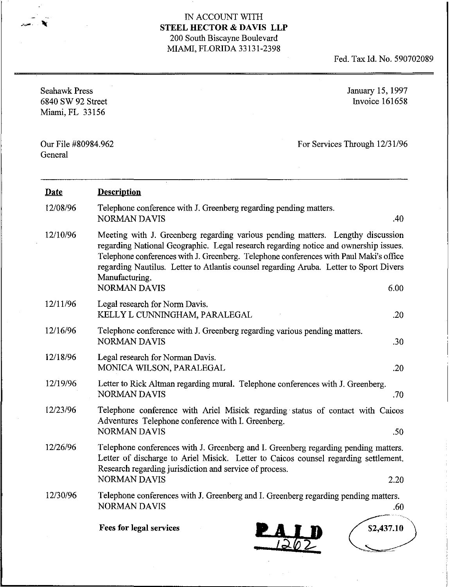Fed. Tax Id. No. 590702089

| <b>Seahawk Press</b><br>6840 SW 92 Street<br>Miami, FL 33156 |                                                                                                                                                                                                                                                                                                                                                                                                      | January 15, 1997<br>Invoice 161658 |  |
|--------------------------------------------------------------|------------------------------------------------------------------------------------------------------------------------------------------------------------------------------------------------------------------------------------------------------------------------------------------------------------------------------------------------------------------------------------------------------|------------------------------------|--|
| Our File #80984.962<br>General                               |                                                                                                                                                                                                                                                                                                                                                                                                      | For Services Through 12/31/96      |  |
| <b>Date</b>                                                  | <b>Description</b>                                                                                                                                                                                                                                                                                                                                                                                   |                                    |  |
| 12/08/96                                                     | Telephone conference with J. Greenberg regarding pending matters.<br><b>NORMAN DAVIS</b>                                                                                                                                                                                                                                                                                                             | .40                                |  |
| 12/10/96                                                     | Meeting with J. Greenberg regarding various pending matters. Lengthy discussion<br>regarding National Geographic. Legal research regarding notice and ownership issues.<br>Telephone conferences with J. Greenberg. Telephone conferences with Paul Maki's office<br>regarding Nautilus. Letter to Atlantis counsel regarding Aruba. Letter to Sport Divers<br>Manufacturing.<br><b>NORMAN DAVIS</b> | 6.00                               |  |
| 12/11/96                                                     | Legal research for Norm Davis.<br>KELLY L CUNNINGHAM, PARALEGAL                                                                                                                                                                                                                                                                                                                                      | .20                                |  |
| 12/16/96                                                     | Telephone conference with J. Greenberg regarding various pending matters.<br><b>NORMAN DAVIS</b>                                                                                                                                                                                                                                                                                                     | .30                                |  |
| 12/18/96                                                     | Legal research for Norman Davis.<br>MONICA WILSON, PARALEGAL                                                                                                                                                                                                                                                                                                                                         | .20                                |  |
| 12/19/96                                                     | Letter to Rick Altman regarding mural. Telephone conferences with J. Greenberg.<br><b>NORMAN DAVIS</b>                                                                                                                                                                                                                                                                                               | .70                                |  |
| 12/23/96                                                     | Telephone conference with Ariel Misick regarding status of contact with Caicos<br>Adventures Telephone conference with I. Greenberg.<br><b>NORMAN DAVIS</b>                                                                                                                                                                                                                                          | .50                                |  |
| 12/26/96                                                     | Telephone conferences with J. Greenberg and I. Greenberg regarding pending matters.<br>Letter of discharge to Ariel Misick. Letter to Caicos counsel regarding settlement.<br>Research regarding jurisdiction and service of process.<br><b>NORMAN DAVIS</b>                                                                                                                                         | 2.20                               |  |
| 12/30/96                                                     | Telephone conferences with J. Greenberg and I. Greenberg regarding pending matters.<br><b>NORMAN DAVIS</b>                                                                                                                                                                                                                                                                                           | .60                                |  |
|                                                              | <b>Fees for legal services</b><br>PAIN                                                                                                                                                                                                                                                                                                                                                               | \$2,437.10                         |  |

12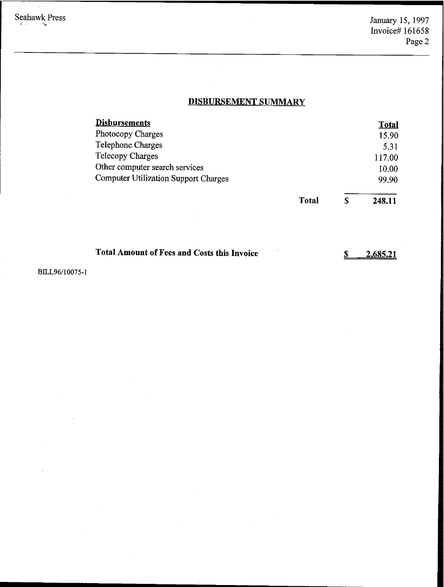$S$ 

**2,685.21**

# **DISBURSEMENT SUMMARY**

| <b>Disbursements</b>                               |              |   | <b>Total</b> |
|----------------------------------------------------|--------------|---|--------------|
| <b>Photocopy Charges</b>                           |              |   | 15.90        |
| <b>Telephone Charges</b>                           |              |   | 5.31         |
| Telecopy Charges                                   |              |   | 117.00       |
| Other computer search services                     |              |   | 10.00        |
| <b>Computer Utilization Support Charges</b>        |              |   | 99.90        |
|                                                    | <b>Total</b> | S | 248.11       |
|                                                    |              |   |              |
|                                                    |              |   |              |
| <b>Total Amount of Fees and Costs this Invoice</b> |              | S | 2.685.21     |

BILL96/10075-1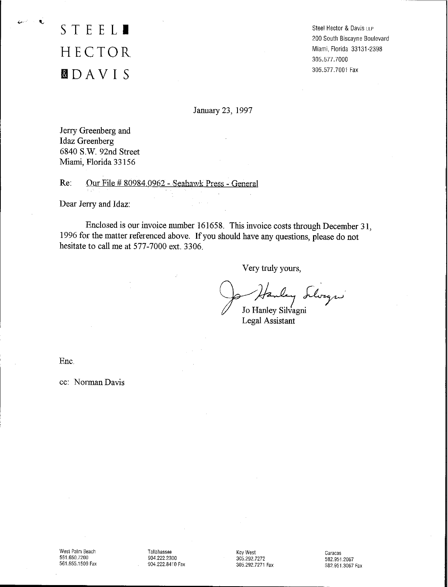# **STEEL.** HECTOR **BtDAVI S**

 $\mathbf{r}$ 

Steel Hector & Davis LLP 200 South Biscayne Boulevard Miami, Florida 33131-2398 305.577. 7000 305.577.7001 Fax

January 23, 1997

Jerry Greenberg and Idaz Greenberg 6840 S.w. 92nd Street Miami, Florida 33156

Re: Our File # 80984.0962 - Seahawk Press - General

Dear Jerry and Idaz:

Enclosed is our invoice number 161658. Tbis invoice costs through December 31, 1996 for the matter referenced above. If you should have any questions, please do not hesitate to call me at 577-7000 ext. 3306.

Very truly yours,

Hanley Llwagn"

Legal Assistant

Ene.

cc: NormanDavis

Tallahassee 904.222.2300 904.222.8410 Fax Key West 305.292.7272 305,292.7271 Fax Caracas 582.9512067 582.951.3067 Fax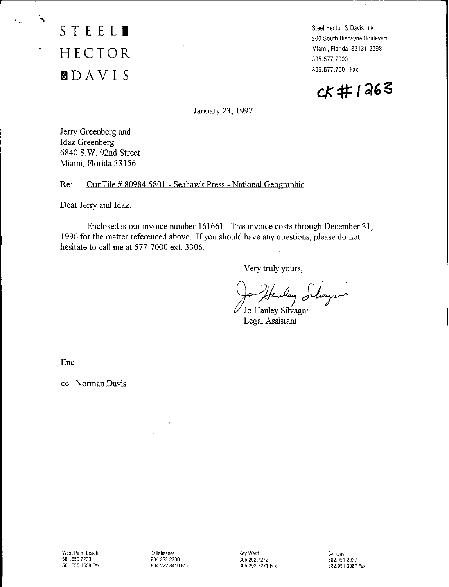HECTOR **MDAVI S**

**STEEL.**

Steel Hector & Davis LLP 200 South Biscayne Boulevard Miami, Florida 33131-2398 305.577. 7000 305.577.7001 Fax

 $c$  #1263

January 23, 1997

. The contract of the contract of the contract of the contract of the contract of the contract of the contract of  $\alpha$ 

Jerry Greenberg and Idaz Greenberg 6840 S.W. 92nd Street Miami, Florida 33156

Re: Our File # 80984.5801 - Seabawk Press - National Geographic

Dear Jerry and Idaz:

Enclosed is our invoice number 161661. This invoice costs through December 31, 1996 for the matter referenced above. If you should have any questions, please do not hesitate to call me at 577-7000 ext. 3306.

Very truly yours,

tanley Inline

Legal Assistant

Ene.

cc: Norman Davis

Tallahassee 904.222,2300 904.222.8410 Fax

Key West 305,292,7272 305.292.7271 Fax Caracas 582.951.2067 582.951.3067 Fax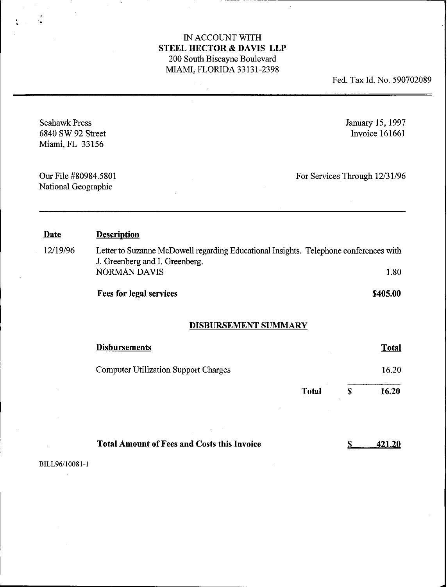• .

Fed. Tax Id. No. 590702089

| <b>Seahawk Press</b><br>6840 SW 92 Street<br>Miami, FL 33156 |                                                                                       |              |              | January 15, 1997<br>Invoice 161661 |
|--------------------------------------------------------------|---------------------------------------------------------------------------------------|--------------|--------------|------------------------------------|
| Our File #80984.5801<br>National Geographic                  |                                                                                       |              |              | For Services Through 12/31/96      |
| <b>Date</b>                                                  | <b>Description</b>                                                                    |              |              |                                    |
| 12/19/96                                                     | Letter to Suzanne McDowell regarding Educational Insights. Telephone conferences with |              |              |                                    |
|                                                              | J. Greenberg and I. Greenberg.<br><b>NORMAN DAVIS</b>                                 |              |              | 1.80                               |
|                                                              | <b>Fees for legal services</b>                                                        |              |              | \$405.00                           |
|                                                              | <b>DISBURSEMENT SUMMARY</b>                                                           |              |              |                                    |
|                                                              | <b>Disbursements</b>                                                                  |              |              | <b>Total</b>                       |
|                                                              | <b>Computer Utilization Support Charges</b>                                           |              |              | 16.20                              |
|                                                              |                                                                                       | <b>Total</b> | $\mathbf{s}$ | 16.20                              |
|                                                              |                                                                                       |              |              |                                    |
|                                                              | <b>Total Amount of Fees and Costs this Invoice</b>                                    |              |              | <u>421.20</u>                      |
| BILL96/10081-1                                               |                                                                                       |              |              |                                    |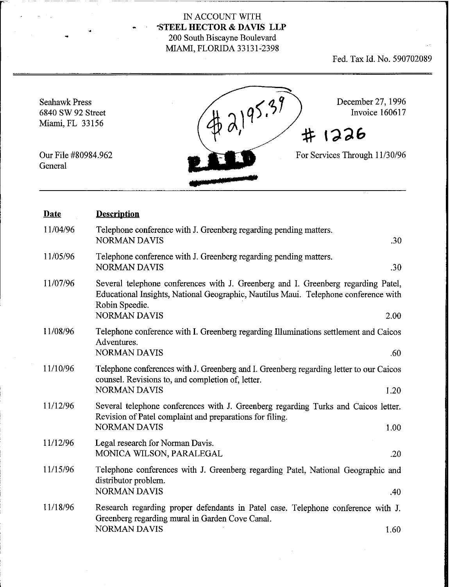---~---------------------------.

Fed. Tax Id. No. 590702089

 $2,2,95.39$ December 27, 1996 Seahawk Press Invoice 160617 6840 SW 92 Street Miami, FL 33156 # 1226 For Services Through 11/30/96 Our File #80984.962 General **•**

| <b>Date</b> | <b>Description</b>                                                                                                                                                                                                        |
|-------------|---------------------------------------------------------------------------------------------------------------------------------------------------------------------------------------------------------------------------|
| 11/04/96    | Telephone conference with J. Greenberg regarding pending matters.<br><b>NORMAN DAVIS</b><br>.30                                                                                                                           |
| 11/05/96    | Telephone conference with J. Greenberg regarding pending matters.<br><b>NORMAN DAVIS</b><br>.30                                                                                                                           |
| 11/07/96    | Several telephone conferences with J. Greenberg and I. Greenberg regarding Patel,<br>Educational Insights, National Geographic, Nautilus Maui. Telephone conference with<br>Robin Speedie.<br><b>NORMAN DAVIS</b><br>2.00 |
| 11/08/96    | Telephone conference with I. Greenberg regarding Illuminations settlement and Caicos<br>Adventures.<br><b>NORMAN DAVIS</b><br>.60                                                                                         |
| 11/10/96    | Telephone conferences with J. Greenberg and I. Greenberg regarding letter to our Caicos<br>counsel. Revisions to, and completion of, letter.<br><b>NORMAN DAVIS</b><br>1.20                                               |
| 11/12/96    | Several telephone conferences with J. Greenberg regarding Turks and Caicos letter.<br>Revision of Patel complaint and preparations for filing.<br><b>NORMAN DAVIS</b><br>1.00                                             |
| 11/12/96    | Legal research for Norman Davis.<br>MONICA WILSON, PARALEGAL<br>.20                                                                                                                                                       |
| 11/15/96    | Telephone conferences with J. Greenberg regarding Patel, National Geographic and<br>distributor problem.<br><b>NORMAN DAVIS</b><br>.40                                                                                    |
| 11/18/96    | Research regarding proper defendants in Patel case. Telephone conference with J.<br>Greenberg regarding mural in Garden Cove Canal.<br><b>NORMAN DAVIS</b><br>1.60                                                        |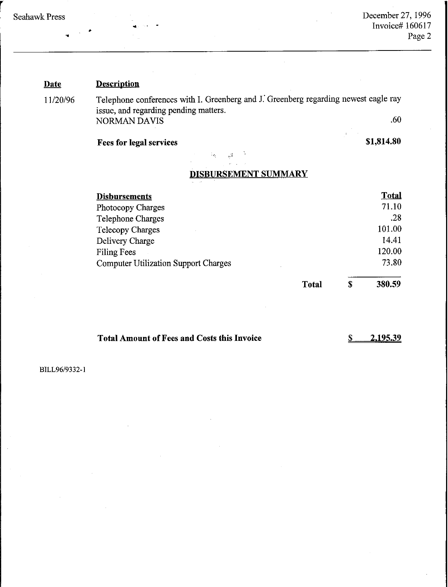r

#### **Date Description**

11/20/96 Telephone conferences with L Greenberg and J: Greenberg regarding newest eagle ray issue, and regarding pending matters. NORMAN DAVIS 60

 $\frac{1}{2\sqrt{2}}$ 

 $\mathcal{C}_{\mathcal{C}_{\mathcal{C}}}$ 

# **Fees for legal services**

**\$1,814.80**

# **DISBURSEMENT SUMMARY**

| <b>Disbursements</b>                        |              |   | <b>Total</b> |
|---------------------------------------------|--------------|---|--------------|
| Photocopy Charges                           |              |   | 71.10        |
| <b>Telephone Charges</b>                    |              |   | .28          |
| <b>Telecopy Charges</b>                     |              |   | 101.00       |
| Delivery Charge                             |              |   | 14.41        |
| Filing Fees                                 |              |   | 120.00       |
| <b>Computer Utilization Support Charges</b> |              |   | 73.80        |
|                                             | <b>Total</b> | S | 380.59       |

**Total** \$

**Total Amount** ofFees **and Costs this Invoice**

\$ **2,195.39**

BILL96/9332-1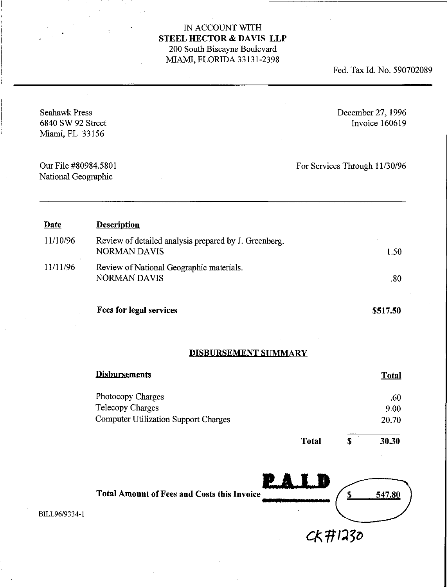Fed. Tax Id. No. 590702089

- - ---------------------~

| <b>Seahawk Press</b><br>6840 SW 92 Street<br>Miami, FL 33156 |                                                                                             |              |             | December 27, 1996<br>Invoice 160619 |
|--------------------------------------------------------------|---------------------------------------------------------------------------------------------|--------------|-------------|-------------------------------------|
| Our File #80984.5801<br>National Geographic                  |                                                                                             |              |             | For Services Through 11/30/96       |
| <b>Date</b>                                                  | <b>Description</b>                                                                          |              |             |                                     |
| 11/10/96                                                     | Review of detailed analysis prepared by J. Greenberg.<br><b>NORMAN DAVIS</b>                |              |             | 1.50                                |
| 11/11/96                                                     | Review of National Geographic materials.<br><b>NORMAN DAVIS</b>                             |              |             | .80                                 |
|                                                              | Fees for legal services                                                                     |              |             | \$517.50                            |
|                                                              | <b>DISBURSEMENT SUMMARY</b>                                                                 |              |             |                                     |
|                                                              | <b>Disbursements</b>                                                                        |              |             | <b>Total</b>                        |
|                                                              | Photocopy Charges<br><b>Telecopy Charges</b><br><b>Computer Utilization Support Charges</b> |              |             | .60<br>9.00<br>20.70                |
|                                                              |                                                                                             | <b>Total</b> | $\mathbf S$ | 30.30                               |
|                                                              |                                                                                             | PAID         |             |                                     |
| BILL96/9334-1                                                | <b>Total Amount of Fees and Costs this Invoice</b>                                          |              |             | 547.80                              |
|                                                              |                                                                                             | CK#1230      |             |                                     |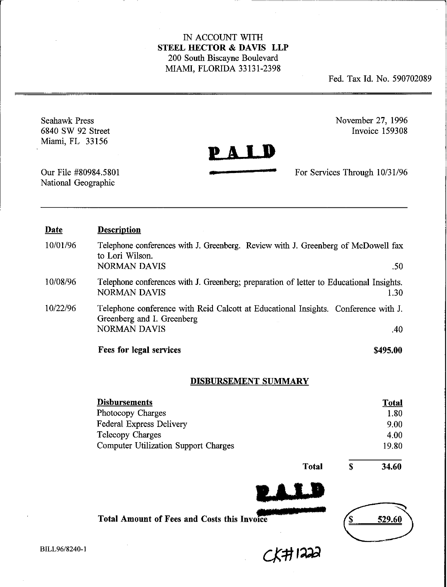Fed. Tax Id. No. 590702089

Seahawk Press 6840 SW 92 Street Miami, FL 33156

November 27, 1996 Invoice 159308

PALD

For Services Through 10/31/96

\_ ..\_~------------------~

Our File #80984.5801 National Geographic

| <b>Date</b> | <b>Description</b>                                                                                                                      |          |
|-------------|-----------------------------------------------------------------------------------------------------------------------------------------|----------|
| 10/01/96    | Telephone conferences with J. Greenberg. Review with J. Greenberg of McDowell fax<br>to Lori Wilson.<br><b>NORMAN DAVIS</b>             | .50      |
| 10/08/96    | Telephone conferences with J. Greenberg; preparation of letter to Educational Insights.<br><b>NORMAN DAVIS</b>                          | 1.30     |
| 10/22/96    | Telephone conference with Reid Calcott at Educational Insights. Conference with J.<br>Greenberg and I. Greenberg<br><b>NORMAN DAVIS</b> | .40      |
|             | Fees for legal services                                                                                                                 | \$495.00 |

# DISBURSEMENT SUMMARY

| <b>Disbursements</b>                               |              |   | <b>Total</b> |
|----------------------------------------------------|--------------|---|--------------|
| Photocopy Charges                                  |              |   | 1.80         |
| Federal Express Delivery                           |              |   | 9.00         |
| Telecopy Charges                                   |              |   | 4.00         |
| <b>Computer Utilization Support Charges</b>        |              |   | 19.80        |
|                                                    | <b>Total</b> | S | 34.60        |
|                                                    |              |   |              |
| <b>Total Amount of Fees and Costs this Invoice</b> |              |   | 529.60       |

 $CKH1222$ 

BILL96/8240-I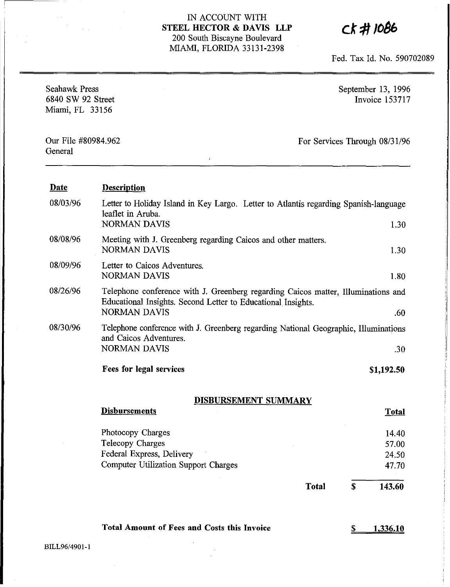CK#1086

Fed. Tax Id. No. 590702089

| <b>Seahawk Press</b><br>6840 SW 92 Street<br>Miami, FL 33156 | September 13, 1996<br><b>Invoice 153717</b>                                                                                                                 |    |                                  |
|--------------------------------------------------------------|-------------------------------------------------------------------------------------------------------------------------------------------------------------|----|----------------------------------|
| Our File #80984.962<br>General                               | $\mathfrak{p}$                                                                                                                                              |    | For Services Through 08/31/96    |
| <u>Date</u>                                                  | <b>Description</b>                                                                                                                                          |    |                                  |
| 08/03/96                                                     | Letter to Holiday Island in Key Largo. Letter to Atlantis regarding Spanish-language<br>leaflet in Aruba.<br><b>NORMAN DAVIS</b>                            |    | 1.30                             |
| 08/08/96                                                     | Meeting with J. Greenberg regarding Caicos and other matters.<br><b>NORMAN DAVIS</b>                                                                        |    | 1.30                             |
| 08/09/96                                                     | Letter to Caicos Adventures.<br><b>NORMAN DAVIS</b>                                                                                                         |    | 1.80                             |
| 08/26/96                                                     | Telephone conference with J. Greenberg regarding Caicos matter, Illuminations and<br>Educational Insights. Second Letter to Educational Insights.           |    |                                  |
| 08/30/96                                                     | <b>NORMAN DAVIS</b><br>Telephone conference with J. Greenberg regarding National Geographic, Illuminations<br>and Caicos Adventures.<br><b>NORMAN DAVIS</b> |    | .60<br>.30                       |
|                                                              | Fees for legal services                                                                                                                                     |    | \$1,192.50                       |
|                                                              | DISBURSEMENT SUMMARY                                                                                                                                        |    |                                  |
|                                                              | <b>Disbursements</b>                                                                                                                                        |    | <b>Total</b>                     |
|                                                              | Photocopy Charges<br>Telecopy Charges<br>Federal Express, Delivery<br><b>Computer Utilization Support Charges</b>                                           |    | 14.40<br>57.00<br>24.50<br>47.70 |
|                                                              | <b>Total</b>                                                                                                                                                | \$ | 143.60                           |
| BILL96/4901-1                                                | <b>Total Amount of Fees and Costs this Invoice</b>                                                                                                          | S  | <u>1,336.10</u>                  |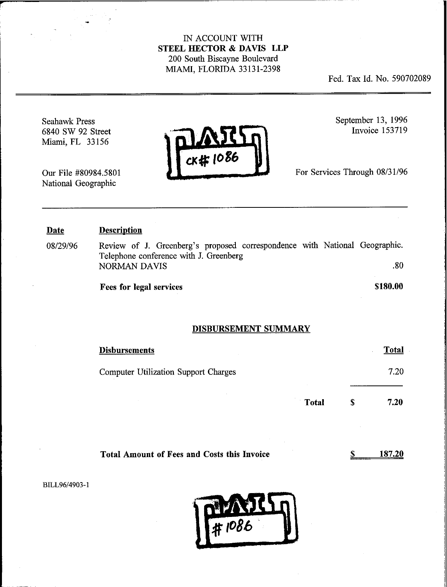Fed. Tax Id. No. 590702089

Seahawk Press 6840 SW 92 Street Miami, FL 33156

**r**

Our File #80984.5801 National Geographic



September 13, 1996 Invoice 153719

For Services Through 08/31/96

#### Date Description

08/29/96 Review of J. Greenberg's proposed correspondence with National Geographic. Telephone conference with 1. Greenberg NORMAN DAVIS 30

Fees for legal services

\$180.00

#### DISBURSEMENT SUMMARY

| <b>Disbursements</b>                        |       |   | Total |
|---------------------------------------------|-------|---|-------|
| <b>Computer Utilization Support Charges</b> |       |   | 7.20  |
| $\sim$                                      | Total | S | 7.20  |

Total Amount of Fees and Costs this Invoice 187.20

\$

BILL96/4903-1

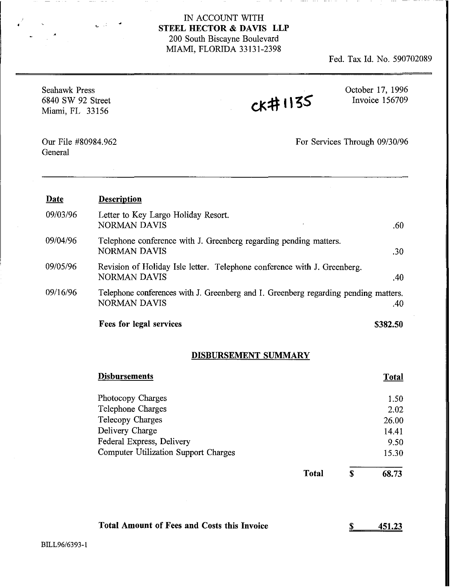Fed. Tax Id. No. 590702089

| <b>Seahawk Press</b><br>6840 SW 92 Street<br>Miami, FL 33156 |                                                                                                            | <b>CK#1135</b> | October 17, 1996<br>Invoice 156709 |
|--------------------------------------------------------------|------------------------------------------------------------------------------------------------------------|----------------|------------------------------------|
| Our File #80984.962<br>General                               |                                                                                                            |                | For Services Through 09/30/96      |
| Date                                                         | <b>Description</b>                                                                                         |                |                                    |
| 09/03/96                                                     | Letter to Key Largo Holiday Resort.<br><b>NORMAN DAVIS</b>                                                 |                | .60                                |
| 09/04/96                                                     | Telephone conference with J. Greenberg regarding pending matters.<br><b>NORMAN DAVIS</b>                   |                | .30                                |
| 09/05/96                                                     | Revision of Holiday Isle letter. Telephone conference with J. Greenberg.<br><b>NORMAN DAVIS</b>            |                | .40                                |
| 09/16/96                                                     | Telephone conferences with J. Greenberg and I. Greenberg regarding pending matters.<br><b>NORMAN DAVIS</b> |                | .40                                |
|                                                              | <b>Fees for legal services</b>                                                                             |                | \$382.50                           |

# DISBURSEMENT SUMMARY

| <b>Disbursements</b>                 | Total               |
|--------------------------------------|---------------------|
| Photocopy Charges                    | 1.50                |
| Telephone Charges                    | 2.02                |
| Telecopy Charges                     | 26.00               |
| Delivery Charge                      | 14.41               |
| Federal Express, Delivery            | 9.50                |
| Computer Utilization Support Charges | 15.30               |
|                                      | Total<br>S<br>68.73 |

| Total Amount of Fees and Costs this Invoice | 451.23 |
|---------------------------------------------|--------|
|---------------------------------------------|--------|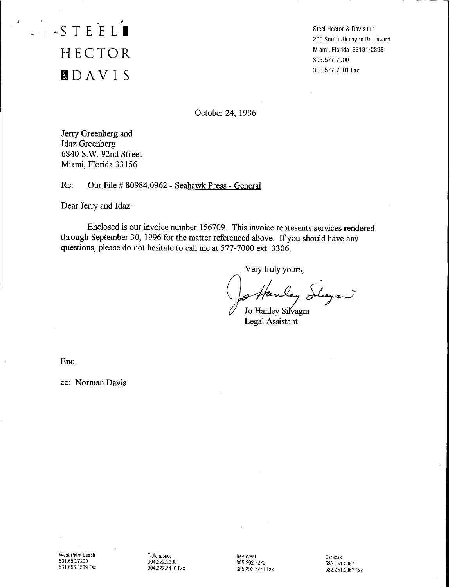# . **·STEELI** HECTOR **faDAVI S**

Steel Hector & Davis LLP 200South Biscayne Boulevard Miami, Florida 33131-2398 305.577. 7000 305.577.7001 Fax

October 24, 1996

Jerry Greenberg and Idaz Greenberg 6840 s.w. 92nd Street Miami, Florida 33156

Re: Our File # 80984,0962 - Seahawk Press - General

Dear Jerry and Idaz:

Enclosed is our invoice number 156709. This invoice represents services rendered through September 30, 1996 for the matter referenced above. If you should have any questions, please do not hesitate to call me at 577-7000 ext, 3306.

Very truly yours,

. ley Slagn

Jo Hanley Silvagni Legal Assistant

Enc,

cc: Norman Davis

Tallahassee 904.222.2300 904.222.8410 Fax

Key West 305292.7272 305.292.7271 Fax

Caracas 582.9512067 582.951.3067 Fax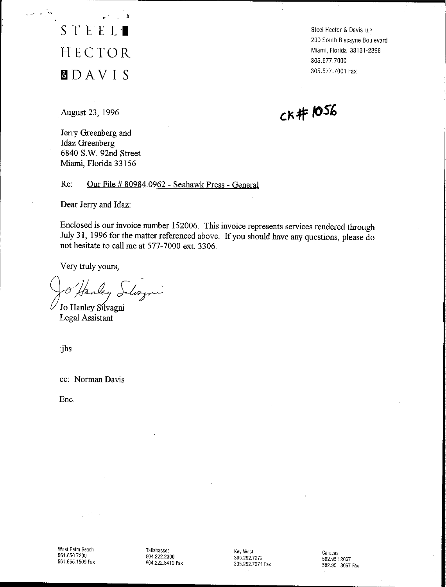STEEL<sup>1</sup> HECTOR **IDAVI S**

 $\mathbf{r}^{\mathcal{A}}$  ,  $\mathbf{r}^{\mathcal{A}}$ 

Steel Hector & Davis LLP 200 South Biscayne Boulevard Miami, Florida 33131·2398 305.577.7000 305.577.7001 Fax

August 23, 1996

 $CK$ #1056

Jerry Greenberg and Idaz Greenberg 6840 s.w. 92nd Street Miami, Florida 33156

Re: Our File # 80984.0962 - Seahawk Press - General

Dear Jerry and Idaz:

Enclosed is our invoice number 152006. This invoice represents services rendered through July 31, 1996 for the matter referenced above. If you should have any questions, please do not hesitate to call me at 577-7000 ext. 3306.

Very truly yours,

. Very truly yours,<br>0 Hanley Schozen

Jo Hanley Sílvagni Legal Assistant

:jhs

cc: Norman Davis

Ene.

West Palm Beach 561.650.7200 561.655.1509 Fax Tallahassee 904.2222300 904.222.8410 Fax

Key West 305.292.7272 305.292.7271 Fax

Caracas 582.951.2067 582.951,3067 Fax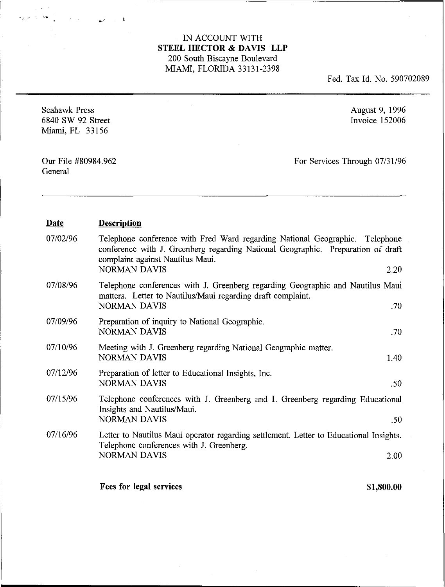$\mathcal{L}_{\mathcal{A}}$ 

Fed. Tax Id. No. 590702089

| Seahawk Press<br>6840 SW 92 Street<br>Miami, FL 33156 |                                                                                                                                                                                                                             | August 9, 1996<br>Invoice 152006 |  |
|-------------------------------------------------------|-----------------------------------------------------------------------------------------------------------------------------------------------------------------------------------------------------------------------------|----------------------------------|--|
| Our File #80984.962<br>General                        |                                                                                                                                                                                                                             | For Services Through 07/31/96    |  |
| <b>Date</b>                                           | <b>Description</b>                                                                                                                                                                                                          |                                  |  |
| 07/02/96                                              | Telephone conference with Fred Ward regarding National Geographic. Telephone<br>conference with J. Greenberg regarding National Geographic. Preparation of draft<br>complaint against Nautilus Maui.<br><b>NORMAN DAVIS</b> | 2.20                             |  |
| 07/08/96                                              | Telephone conferences with J. Greenberg regarding Geographic and Nautilus Maui<br>matters. Letter to Nautilus/Maui regarding draft complaint.<br><b>NORMAN DAVIS</b>                                                        | .70                              |  |
| 07/09/96                                              | Preparation of inquiry to National Geographic.<br><b>NORMAN DAVIS</b>                                                                                                                                                       | .70                              |  |
| 07/10/96                                              | Meeting with J. Greenberg regarding National Geographic matter.<br><b>NORMAN DAVIS</b>                                                                                                                                      | 1.40                             |  |
| 07/12/96                                              | Preparation of letter to Educational Insights, Inc.<br><b>NORMAN DAVIS</b>                                                                                                                                                  | .50                              |  |
| 07/15/96                                              | Telephone conferences with J. Greenberg and I. Greenberg regarding Educational<br>Insights and Nautilus/Maui.<br><b>NORMAN DAVIS</b>                                                                                        | .50                              |  |
| 07/16/96                                              | Letter to Nautilus Maui operator regarding settlement. Letter to Educational Insights.<br>Telephone conferences with J. Greenberg.<br>NORMAN DAVIS                                                                          | 2.00                             |  |
|                                                       | Fees for legal services                                                                                                                                                                                                     | \$1,800.00                       |  |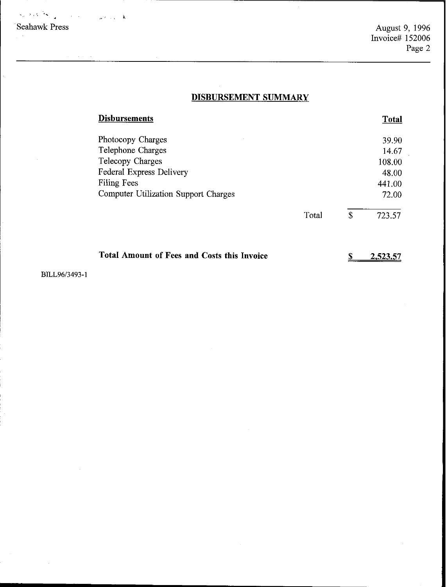·Seahawk Press  $\label{eq:2.1} \mathcal{L}_{\mu}(\lambda,\lambda,\hat{\mathcal{H}}_{\mu})\mathcal{L}_{\mu}=\left\langle \mathcal{L}_{\mu}(\lambda,\hat{\mathcal{H}}_{\mu})\mathcal{L}_{\mu}(\lambda,\hat{\mathcal{H}}_{\mu})\right\rangle$ 

August 9, 1996 Invoice# 152006 Page 2

# **DISBURSEMENT SUMMARY**

| Disbursements                                      |       |              | <b>Total</b> |
|----------------------------------------------------|-------|--------------|--------------|
| Photocopy Charges                                  |       |              | 39.90        |
| Telephone Charges                                  |       |              | 14.67        |
| Telecopy Charges                                   |       |              | 108.00       |
| Federal Express Delivery                           |       |              | 48.00        |
| <b>Filing Fees</b>                                 |       |              | 441.00       |
| <b>Computer Utilization Support Charges</b>        |       |              | 72.00        |
|                                                    | Total | $\mathbb{S}$ | 723.57       |
| <b>Total Amount of Fees and Costs this Invoice</b> |       | S            | 2,523.57     |
|                                                    |       |              |              |

BILL96/3493-1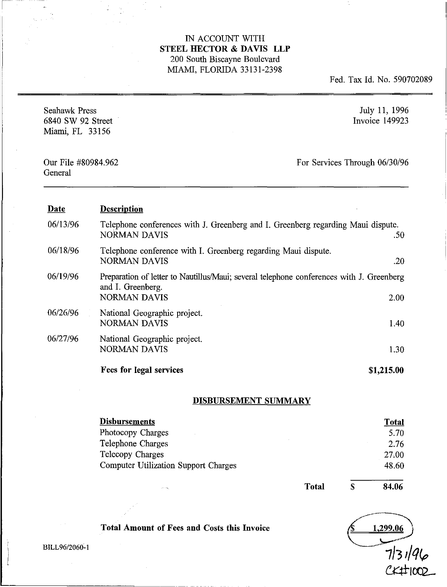Fed. Tax Id. No. 590702089

| <b>Seahawk Press</b><br>6840 SW 92 Street<br>Miami, FL 33156 |                                                                                                                                      | July 11, 1996<br>Invoice 149923 |
|--------------------------------------------------------------|--------------------------------------------------------------------------------------------------------------------------------------|---------------------------------|
| Our File #80984.962<br>General                               |                                                                                                                                      | For Services Through 06/30/96   |
| Date                                                         | <b>Description</b>                                                                                                                   |                                 |
| 06/13/96                                                     | Telephone conferences with J. Greenberg and I. Greenberg regarding Maui dispute.<br><b>NORMAN DAVIS</b>                              | .50                             |
| 06/18/96                                                     | Telephone conference with I. Greenberg regarding Maui dispute.<br><b>NORMAN DAVIS</b>                                                | .20                             |
| 06/19/96                                                     | Preparation of letter to Nautillus/Maui; several telephone conferences with J. Greenberg<br>and I. Greenberg.<br><b>NORMAN DAVIS</b> | 2.00                            |
| 06/26/96                                                     | National Geographic project.<br><b>NORMAN DAVIS</b>                                                                                  | 1.40                            |
| 06/27/96                                                     | National Geographic project.<br><b>NORMAN DAVIS</b>                                                                                  | 1.30                            |
|                                                              | Fees for legal services                                                                                                              | \$1,215.00                      |

### **DISBURSEMENT SUMMARY**

| <b>Disbursements</b>                        | <b>Total</b> |
|---------------------------------------------|--------------|
| Photocopy Charges                           | 5.70         |
| Telephone Charges                           | 2.76         |
| Telecopy Charges                            | 27.00        |
| <b>Computer Utilization Support Charges</b> | 48.60        |

**Total Amount of Fees and Costs this Invoice**

Total  $\overline{s}$ 

**84.06**



BILL96/2060-I

L- .\_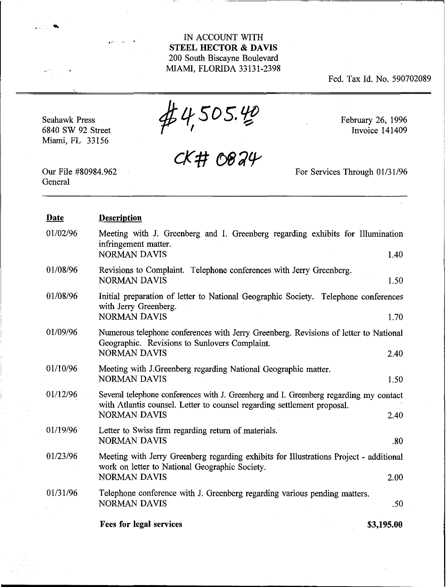Fed. Tax Id. No. 590702089

Seahawk Press 6840 SW 92 Street Miami, FL 33156

 $#4,505.40$ <br>CK#0824

February 26, 1996 Invoice 141409

Our File #80984.962 **General** 

For Services Through 01/31/96

| <b>Date</b> | <b>Description</b>                                                                                                                                                                              |
|-------------|-------------------------------------------------------------------------------------------------------------------------------------------------------------------------------------------------|
| 01/02/96    | Meeting with J. Greenberg and I. Greenberg regarding exhibits for Illumination<br>infringement matter.<br><b>NORMAN DAVIS</b><br>1.40                                                           |
| 01/08/96    | Revisions to Complaint. Telephone conferences with Jerry Greenberg.<br><b>NORMAN DAVIS</b><br>1.50                                                                                              |
| 01/08/96    | Initial preparation of letter to National Geographic Society. Telephone conferences<br>with Jerry Greenberg.<br><b>NORMAN DAVIS</b><br>1.70                                                     |
| 01/09/96    | Numerous telephone conferences with Jerry Greenberg. Revisions of letter to National<br>Geographic. Revisions to Sunlovers Complaint.<br><b>NORMAN DAVIS</b><br>2.40                            |
| 01/10/96    | Meeting with J.Greenberg regarding National Geographic matter.<br><b>NORMAN DAVIS</b><br>1.50                                                                                                   |
| 01/12/96    | Several telephone conferences with J. Greenberg and I. Greenberg regarding my contact<br>with Atlantis counsel. Letter to counsel regarding settlement proposal.<br><b>NORMAN DAVIS</b><br>2.40 |
| 01/19/96    | Letter to Swiss firm regarding return of materials.<br><b>NORMAN DAVIS</b><br>.80                                                                                                               |
| 01/23/96    | Meeting with Jerry Greenberg regarding exhibits for Illustrations Project - additional<br>work on letter to National Geographic Society.                                                        |
|             | <b>NORMAN DAVIS</b><br>2.00                                                                                                                                                                     |
| 01/31/96    | Telephone conference with J. Greenberg regarding various pending matters.<br><b>NORMAN DAVIS</b><br>.50                                                                                         |
|             | <b>Fees for legal services</b><br>\$3,195.00                                                                                                                                                    |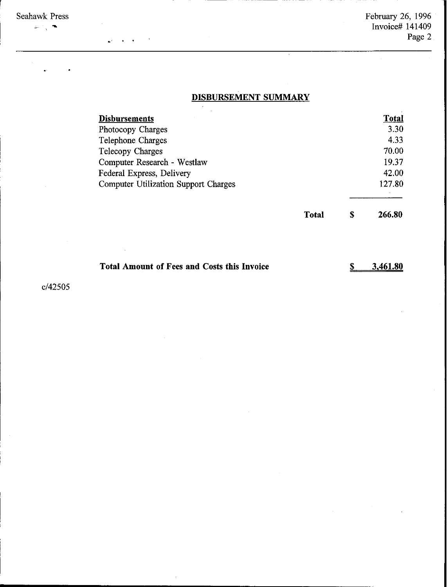Seahawk Press ...

# **DISBURSEMENT SUMMARY**

| 3.30<br>4.33<br>70.00<br>19.37<br>42.00 |
|-----------------------------------------|
|                                         |
|                                         |
|                                         |
|                                         |
|                                         |
| 127.80                                  |
| 266.80<br>S                             |
|                                         |

| Total Amount of Fees and Costs this Invoice | $\frac{\$}{3}$ 3,461.80 |
|---------------------------------------------|-------------------------|
|---------------------------------------------|-------------------------|

c/42505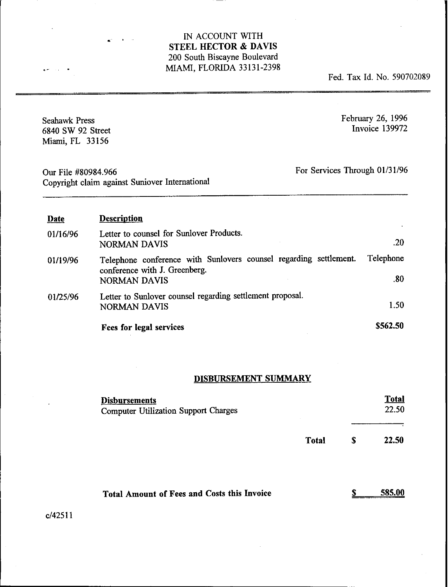•

 $\sim$   $\sim$ 

Fed. Tax Id. No. 590702089

| <b>Seahawk Press</b><br>6840 SW 92 Street<br>Miami, FL 33156 |                                                                                                                           | February 26, 1996<br>Invoice 139972 |  |
|--------------------------------------------------------------|---------------------------------------------------------------------------------------------------------------------------|-------------------------------------|--|
| Our File #80984.966                                          | For Services Through 01/31/96<br>Copyright claim against Suniover International                                           |                                     |  |
| Date                                                         | <b>Description</b>                                                                                                        |                                     |  |
| 01/16/96                                                     | Letter to counsel for Sunlover Products.<br><b>NORMAN DAVIS</b>                                                           | .20                                 |  |
| 01/19/96                                                     | Telephone conference with Sunlovers counsel regarding settlement.<br>conference with J. Greenberg.<br><b>NORMAN DAVIS</b> | Telephone<br>.80                    |  |
| 01/25/96                                                     | Letter to Sunlover counsel regarding settlement proposal.<br><b>NORMAN DAVIS</b>                                          | 1.50                                |  |
|                                                              | Fees for legal services                                                                                                   | \$562.50                            |  |

# DISBURSEMENT SUMMARY

| <b>Disbursements</b><br><b>Computer Utilization Support Charges</b> |              |   | <b>Total</b><br>22.50 |
|---------------------------------------------------------------------|--------------|---|-----------------------|
|                                                                     | <b>Total</b> | S | 22.50                 |
| <b>Total Amount of Fees and Costs this Invoice</b>                  |              | œ | 585.1                 |

c/42511